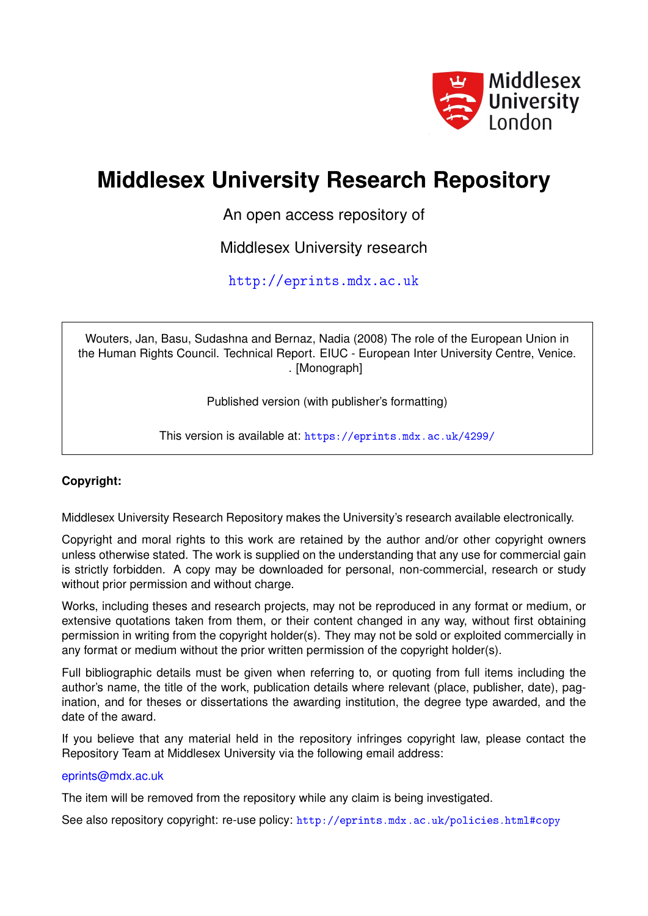

# **Middlesex University Research Repository**

An open access repository of

Middlesex University research

<http://eprints.mdx.ac.uk>

Wouters, Jan, Basu, Sudashna and Bernaz, Nadia (2008) The role of the European Union in the Human Rights Council. Technical Report. EIUC - European Inter University Centre, Venice. . [Monograph]

Published version (with publisher's formatting)

This version is available at: <https://eprints.mdx.ac.uk/4299/>

### **Copyright:**

Middlesex University Research Repository makes the University's research available electronically.

Copyright and moral rights to this work are retained by the author and/or other copyright owners unless otherwise stated. The work is supplied on the understanding that any use for commercial gain is strictly forbidden. A copy may be downloaded for personal, non-commercial, research or study without prior permission and without charge.

Works, including theses and research projects, may not be reproduced in any format or medium, or extensive quotations taken from them, or their content changed in any way, without first obtaining permission in writing from the copyright holder(s). They may not be sold or exploited commercially in any format or medium without the prior written permission of the copyright holder(s).

Full bibliographic details must be given when referring to, or quoting from full items including the author's name, the title of the work, publication details where relevant (place, publisher, date), pagination, and for theses or dissertations the awarding institution, the degree type awarded, and the date of the award.

If you believe that any material held in the repository infringes copyright law, please contact the Repository Team at Middlesex University via the following email address:

#### [eprints@mdx.ac.uk](mailto:eprints@mdx.ac.uk)

The item will be removed from the repository while any claim is being investigated.

See also repository copyright: re-use policy: <http://eprints.mdx.ac.uk/policies.html#copy>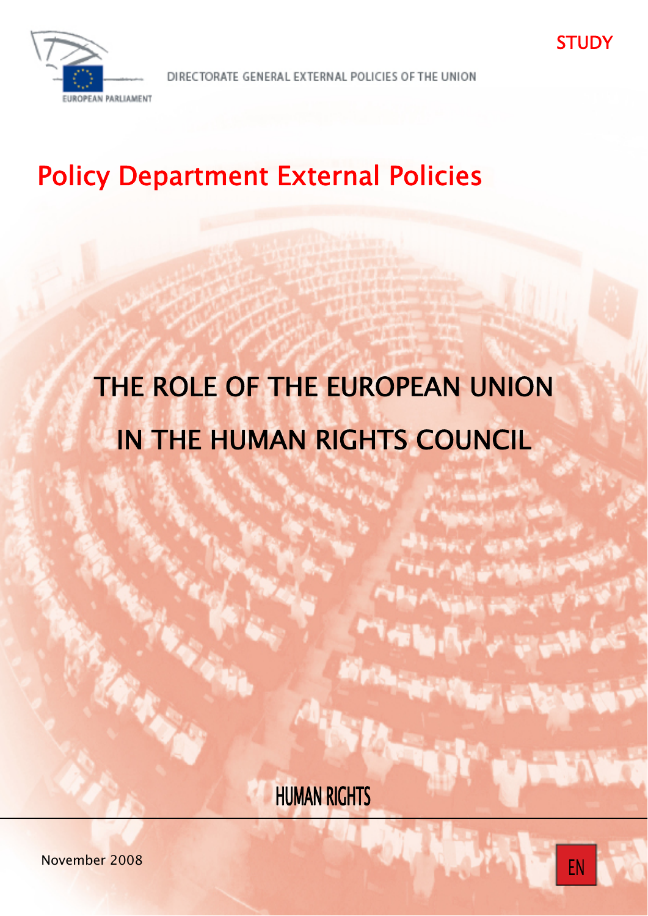

DIRECTORATE GENERAL EXTERNAL POLICIES OF THE UNION

# Policy Department External Policies

# THE ROLE OF THE EUROPEAN UNION IN THE HUMAN RIGHTS COUNCIL

HUMAN RIGHTS

STUDY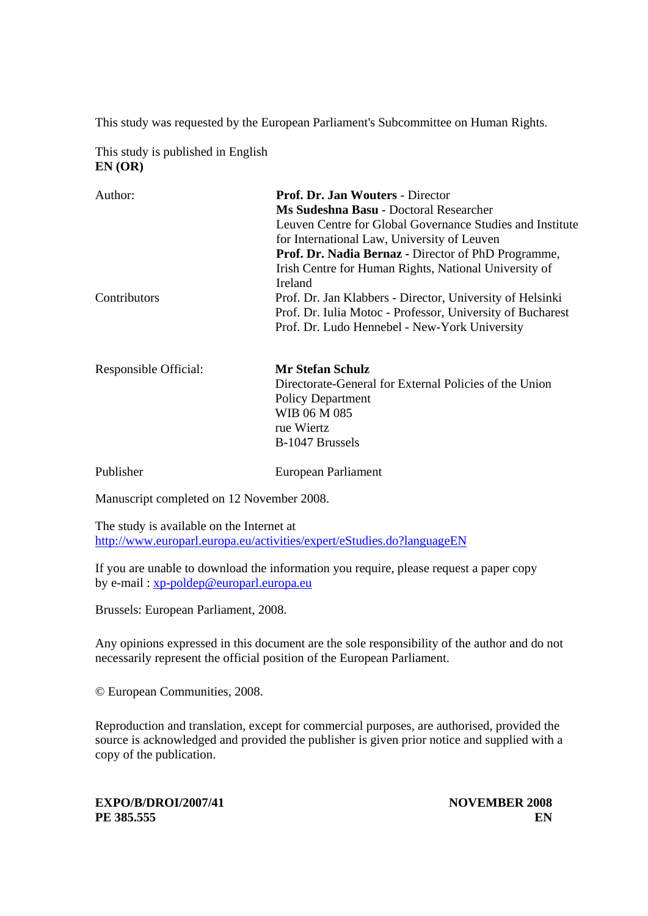This study was requested by the European Parliament's Subcommittee on Human Rights.

This study is published in English **EN (OR)** 

| Author:      | Prof. Dr. Jan Wouters - Director                           |
|--------------|------------------------------------------------------------|
|              | Ms Sudeshna Basu - Doctoral Researcher                     |
|              | Leuven Centre for Global Governance Studies and Institute  |
|              | for International Law, University of Leuven                |
|              | Prof. Dr. Nadia Bernaz - Director of PhD Programme,        |
|              | Irish Centre for Human Rights, National University of      |
|              | Ireland                                                    |
| Contributors | Prof. Dr. Jan Klabbers - Director, University of Helsinki  |
|              | Prof. Dr. Iulia Motoc - Professor, University of Bucharest |
|              | Prof. Dr. Ludo Hennebel - New-York University              |
|              |                                                            |
|              |                                                            |
|              |                                                            |

| Responsible Official: | <b>Mr Stefan Schulz</b>                                |
|-----------------------|--------------------------------------------------------|
|                       | Directorate-General for External Policies of the Union |
|                       | <b>Policy Department</b>                               |
|                       | WIB 06 M 085                                           |
|                       | rue Wiertz                                             |
|                       | B-1047 Brussels                                        |
|                       |                                                        |

Publisher European Parliament

Manuscript completed on 12 November 2008.

The study is available on the Internet at http://www.europarl.europa.eu/activities/expert/eStudies.do?languageEN

If you are unable to download the information you require, please request a paper copy by e-mail : xp-poldep@europarl.europa.eu

Brussels: European Parliament, 2008.

Any opinions expressed in this document are the sole responsibility of the author and do not necessarily represent the official position of the European Parliament.

© European Communities, 2008.

Reproduction and translation, except for commercial purposes, are authorised, provided the source is acknowledged and provided the publisher is given prior notice and supplied with a copy of the publication.

**EXPO/B/DROI/2007/41** NOVEMBER 2008 **PE 385.555** EN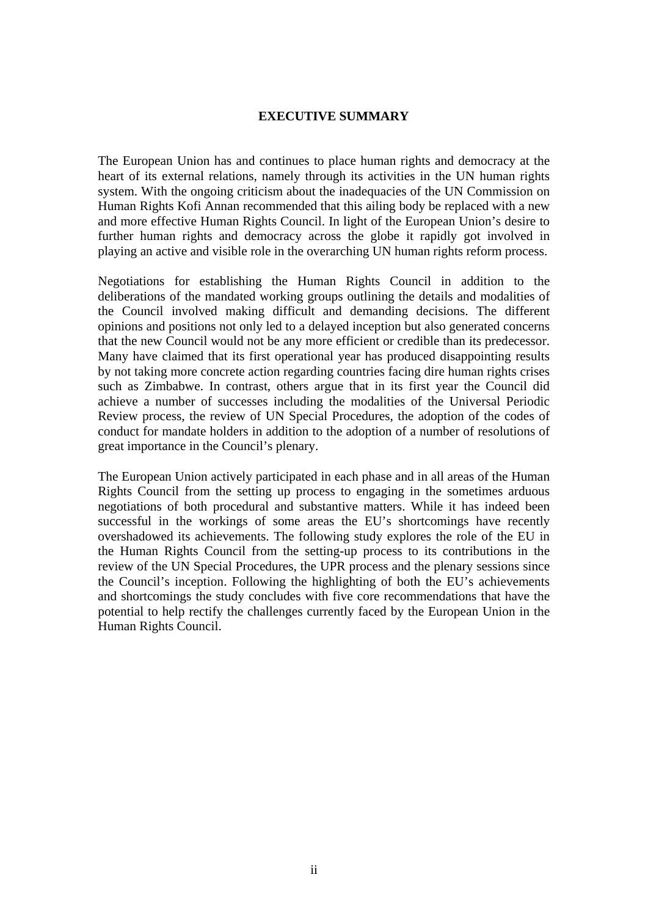#### **EXECUTIVE SUMMARY**

The European Union has and continues to place human rights and democracy at the heart of its external relations, namely through its activities in the UN human rights system. With the ongoing criticism about the inadequacies of the UN Commission on Human Rights Kofi Annan recommended that this ailing body be replaced with a new and more effective Human Rights Council. In light of the European Union's desire to further human rights and democracy across the globe it rapidly got involved in playing an active and visible role in the overarching UN human rights reform process.

Negotiations for establishing the Human Rights Council in addition to the deliberations of the mandated working groups outlining the details and modalities of the Council involved making difficult and demanding decisions. The different opinions and positions not only led to a delayed inception but also generated concerns that the new Council would not be any more efficient or credible than its predecessor. Many have claimed that its first operational year has produced disappointing results by not taking more concrete action regarding countries facing dire human rights crises such as Zimbabwe. In contrast, others argue that in its first year the Council did achieve a number of successes including the modalities of the Universal Periodic Review process, the review of UN Special Procedures, the adoption of the codes of conduct for mandate holders in addition to the adoption of a number of resolutions of great importance in the Council's plenary.

The European Union actively participated in each phase and in all areas of the Human Rights Council from the setting up process to engaging in the sometimes arduous negotiations of both procedural and substantive matters. While it has indeed been successful in the workings of some areas the EU's shortcomings have recently overshadowed its achievements. The following study explores the role of the EU in the Human Rights Council from the setting-up process to its contributions in the review of the UN Special Procedures, the UPR process and the plenary sessions since the Council's inception. Following the highlighting of both the EU's achievements and shortcomings the study concludes with five core recommendations that have the potential to help rectify the challenges currently faced by the European Union in the Human Rights Council.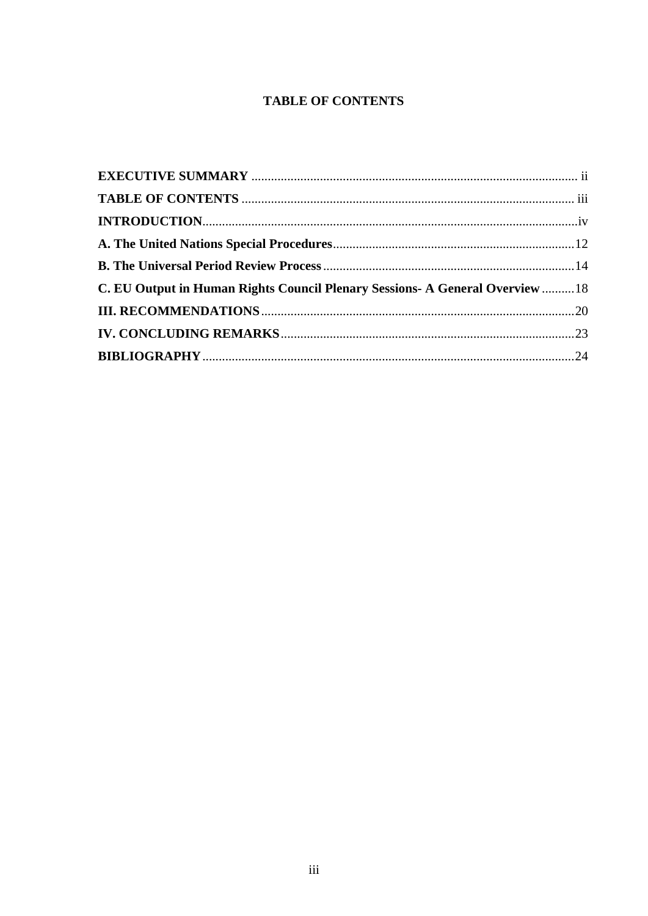## **TABLE OF CONTENTS**

| C. EU Output in Human Rights Council Plenary Sessions- A General Overview  18 |  |
|-------------------------------------------------------------------------------|--|
|                                                                               |  |
|                                                                               |  |
|                                                                               |  |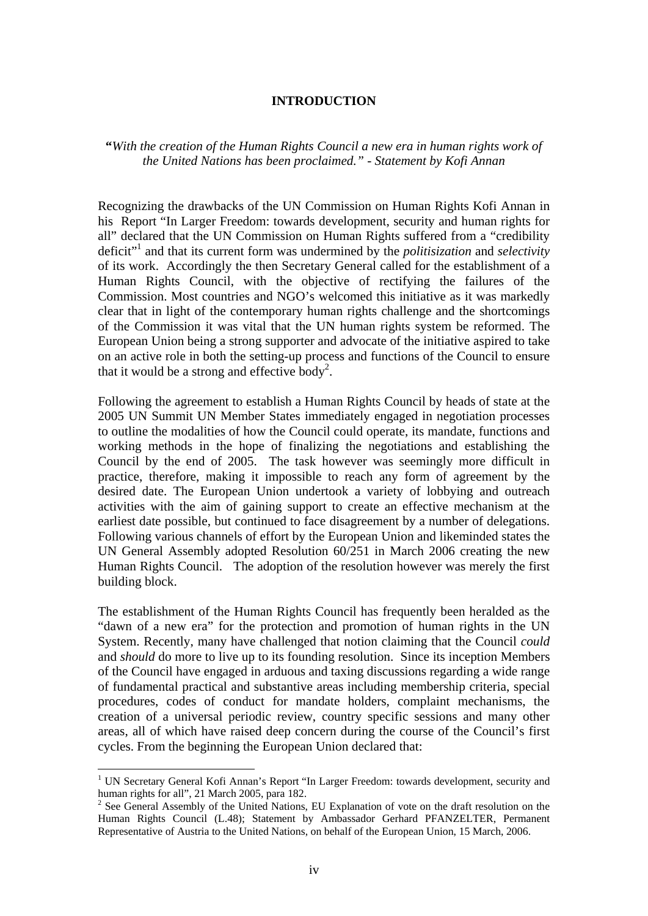#### **INTRODUCTION**

**"***With the creation of the Human Rights Council a new era in human rights work of the United Nations has been proclaimed." - Statement by Kofi Annan* 

Recognizing the drawbacks of the UN Commission on Human Rights Kofi Annan in his Report "In Larger Freedom: towards development, security and human rights for all" declared that the UN Commission on Human Rights suffered from a "credibility deficit"1 and that its current form was undermined by the *politisization* and *selectivity* of its work. Accordingly the then Secretary General called for the establishment of a Human Rights Council, with the objective of rectifying the failures of the Commission. Most countries and NGO's welcomed this initiative as it was markedly clear that in light of the contemporary human rights challenge and the shortcomings of the Commission it was vital that the UN human rights system be reformed. The European Union being a strong supporter and advocate of the initiative aspired to take on an active role in both the setting-up process and functions of the Council to ensure that it would be a strong and effective body<sup>2</sup>.

Following the agreement to establish a Human Rights Council by heads of state at the 2005 UN Summit UN Member States immediately engaged in negotiation processes to outline the modalities of how the Council could operate, its mandate, functions and working methods in the hope of finalizing the negotiations and establishing the Council by the end of 2005. The task however was seemingly more difficult in practice, therefore, making it impossible to reach any form of agreement by the desired date. The European Union undertook a variety of lobbying and outreach activities with the aim of gaining support to create an effective mechanism at the earliest date possible, but continued to face disagreement by a number of delegations. Following various channels of effort by the European Union and likeminded states the UN General Assembly adopted Resolution 60/251 in March 2006 creating the new Human Rights Council. The adoption of the resolution however was merely the first building block.

The establishment of the Human Rights Council has frequently been heralded as the "dawn of a new era" for the protection and promotion of human rights in the UN System. Recently, many have challenged that notion claiming that the Council *could*  and *should* do more to live up to its founding resolution. Since its inception Members of the Council have engaged in arduous and taxing discussions regarding a wide range of fundamental practical and substantive areas including membership criteria, special procedures, codes of conduct for mandate holders, complaint mechanisms, the creation of a universal periodic review, country specific sessions and many other areas, all of which have raised deep concern during the course of the Council's first cycles. From the beginning the European Union declared that:

<u>.</u>

<sup>&</sup>lt;sup>1</sup> UN Secretary General Kofi Annan's Report "In Larger Freedom: towards development, security and human rights for all", 21 March 2005, para 182.

 $2^2$  See General Assembly of the United Nations, EU Explanation of vote on the draft resolution on the Human Rights Council (L.48); Statement by Ambassador Gerhard PFANZELTER, Permanent Representative of Austria to the United Nations, on behalf of the European Union, 15 March, 2006.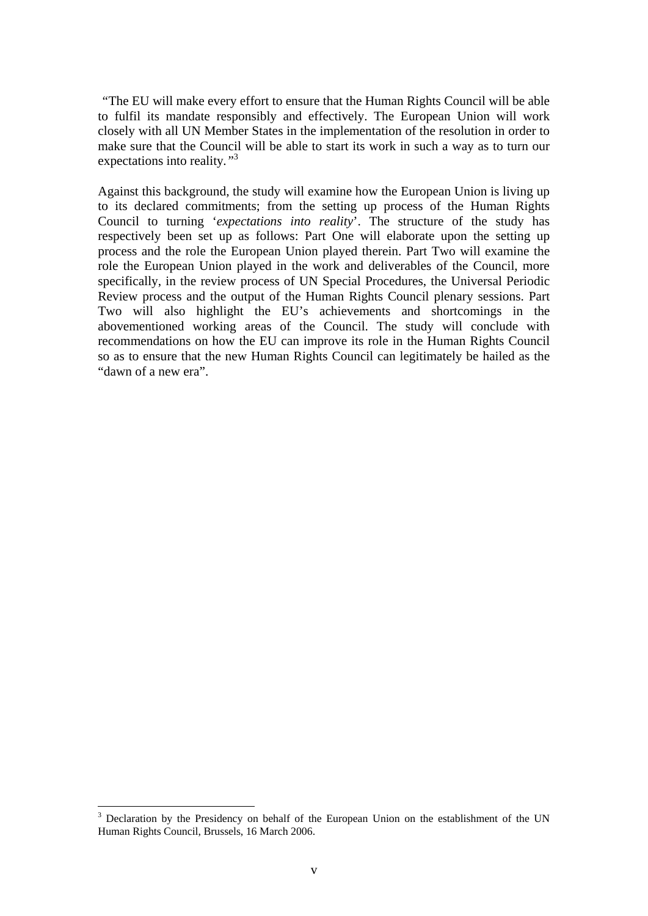*"*The EU will make every effort to ensure that the Human Rights Council will be able to fulfil its mandate responsibly and effectively. The European Union will work closely with all UN Member States in the implementation of the resolution in order to make sure that the Council will be able to start its work in such a way as to turn our expectations into reality*."*<sup>3</sup>

Against this background, the study will examine how the European Union is living up to its declared commitments; from the setting up process of the Human Rights Council to turning '*expectations into reality*'. The structure of the study has respectively been set up as follows: Part One will elaborate upon the setting up process and the role the European Union played therein. Part Two will examine the role the European Union played in the work and deliverables of the Council, more specifically, in the review process of UN Special Procedures, the Universal Periodic Review process and the output of the Human Rights Council plenary sessions. Part Two will also highlight the EU's achievements and shortcomings in the abovementioned working areas of the Council. The study will conclude with recommendations on how the EU can improve its role in the Human Rights Council so as to ensure that the new Human Rights Council can legitimately be hailed as the "dawn of a new era".

<u>.</u>

 $3$  Declaration by the Presidency on behalf of the European Union on the establishment of the UN Human Rights Council, Brussels, 16 March 2006.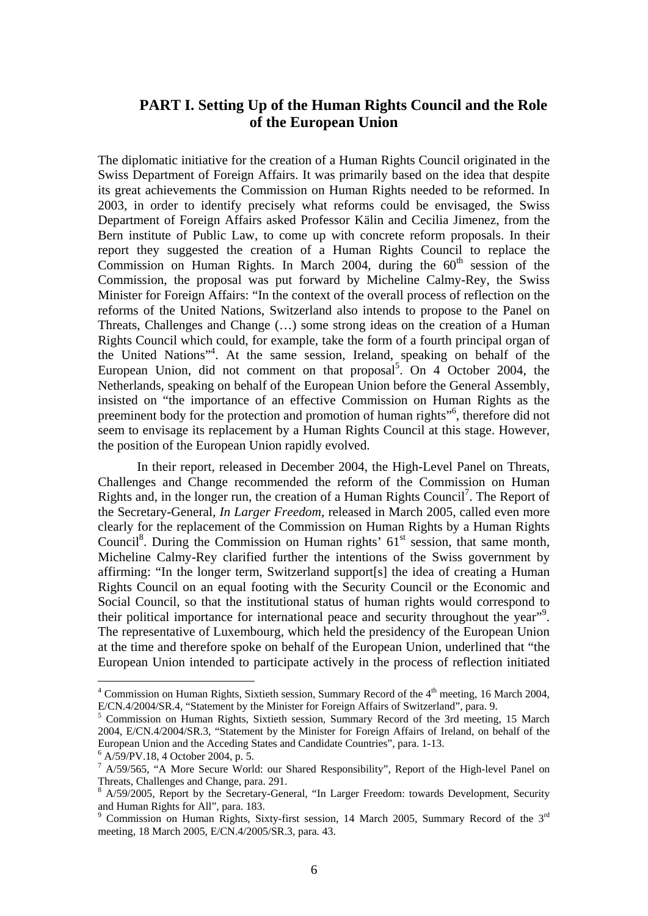## **PART I. Setting Up of the Human Rights Council and the Role of the European Union**

The diplomatic initiative for the creation of a Human Rights Council originated in the Swiss Department of Foreign Affairs. It was primarily based on the idea that despite its great achievements the Commission on Human Rights needed to be reformed. In 2003, in order to identify precisely what reforms could be envisaged, the Swiss Department of Foreign Affairs asked Professor Kälin and Cecilia Jimenez, from the Bern institute of Public Law, to come up with concrete reform proposals. In their report they suggested the creation of a Human Rights Council to replace the Commission on Human Rights. In March 2004, during the  $60<sup>th</sup>$  session of the Commission, the proposal was put forward by Micheline Calmy-Rey, the Swiss Minister for Foreign Affairs: "In the context of the overall process of reflection on the reforms of the United Nations, Switzerland also intends to propose to the Panel on Threats, Challenges and Change (…) some strong ideas on the creation of a Human Rights Council which could, for example, take the form of a fourth principal organ of the United Nations"4 . At the same session, Ireland, speaking on behalf of the European Union, did not comment on that proposal<sup>5</sup>. On  $\overline{4}$  October 2004, the Netherlands, speaking on behalf of the European Union before the General Assembly, insisted on "the importance of an effective Commission on Human Rights as the preeminent body for the protection and promotion of human rights"<sup>6</sup>, therefore did not seem to envisage its replacement by a Human Rights Council at this stage. However, the position of the European Union rapidly evolved.

In their report, released in December 2004, the High-Level Panel on Threats, Challenges and Change recommended the reform of the Commission on Human Rights and, in the longer run, the creation of a Human Rights Council<sup>7</sup>. The Report of the Secretary-General, *In Larger Freedom,* released in March 2005, called even more clearly for the replacement of the Commission on Human Rights by a Human Rights Council<sup>8</sup>. During the Commission on Human rights' 61<sup>st</sup> session, that same month, Micheline Calmy-Rey clarified further the intentions of the Swiss government by affirming: "In the longer term, Switzerland support[s] the idea of creating a Human Rights Council on an equal footing with the Security Council or the Economic and Social Council, so that the institutional status of human rights would correspond to their political importance for international peace and security throughout the year"<sup>9</sup>. The representative of Luxembourg, which held the presidency of the European Union at the time and therefore spoke on behalf of the European Union, underlined that "the European Union intended to participate actively in the process of reflection initiated

<sup>&</sup>lt;sup>4</sup> Commission on Human Rights, Sixtieth session, Summary Record of the 4<sup>th</sup> meeting, 16 March 2004, E/CN.4/2004/SR.4, "Statement by the Minister for Foreign Affairs of Switzerland", para. 9.

<sup>&</sup>lt;sup>5</sup> Commission on Human Rights, Sixtieth session, Summary Record of the 3rd meeting, 15 March 2004, E/CN.4/2004/SR.3, "Statement by the Minister for Foreign Affairs of Ireland, on behalf of the European Union and the Acceding States and Candidate Countries", para. 1-13. 6

 $6$  A/59/PV.18, 4 October 2004, p. 5.

<sup>&</sup>lt;sup>7</sup> A/59/565, "A More Secure World: our Shared Responsibility", Report of the High-level Panel on Threats, Challenges and Change, para. 291.

<sup>&</sup>lt;sup>8</sup> A/59/2005, Report by the Secretary-General, "In Larger Freedom: towards Development, Security and Human Rights for All", para. 183.

<sup>&</sup>lt;sup>9</sup> Commission on Human Rights, Sixty-first session, 14 March 2005, Summary Record of the 3<sup>rd</sup> meeting, 18 March 2005, E/CN.4/2005/SR.3, para. 43.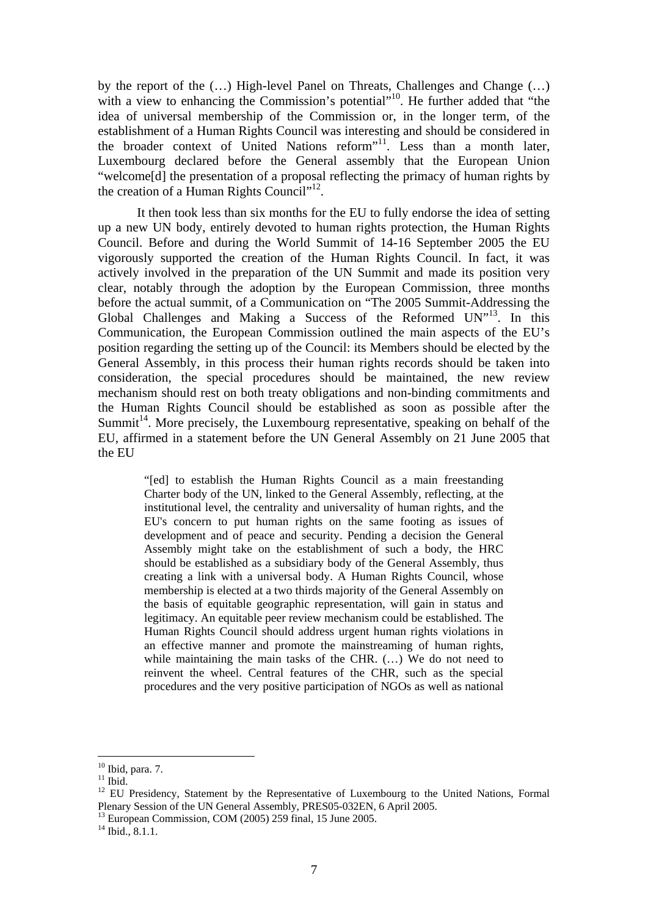by the report of the (…) High-level Panel on Threats, Challenges and Change (…) with a view to enhancing the Commission's potential"<sup>10</sup>. He further added that "the idea of universal membership of the Commission or, in the longer term, of the establishment of a Human Rights Council was interesting and should be considered in the broader context of United Nations reform<sup>"11</sup>. Less than a month later, Luxembourg declared before the General assembly that the European Union "welcome[d] the presentation of a proposal reflecting the primacy of human rights by the creation of a Human Rights Council"<sup>12</sup>.

It then took less than six months for the EU to fully endorse the idea of setting up a new UN body, entirely devoted to human rights protection, the Human Rights Council. Before and during the World Summit of 14-16 September 2005 the EU vigorously supported the creation of the Human Rights Council. In fact, it was actively involved in the preparation of the UN Summit and made its position very clear, notably through the adoption by the European Commission, three months before the actual summit, of a Communication on "The 2005 Summit-Addressing the Global Challenges and Making a Success of the Reformed UN"<sup>13</sup>. In this Communication, the European Commission outlined the main aspects of the EU's position regarding the setting up of the Council: its Members should be elected by the General Assembly, in this process their human rights records should be taken into consideration, the special procedures should be maintained, the new review mechanism should rest on both treaty obligations and non-binding commitments and the Human Rights Council should be established as soon as possible after the Summit<sup>14</sup>. More precisely, the Luxembourg representative, speaking on behalf of the EU, affirmed in a statement before the UN General Assembly on 21 June 2005 that the EU

> "[ed] to establish the Human Rights Council as a main freestanding Charter body of the UN, linked to the General Assembly, reflecting, at the institutional level, the centrality and universality of human rights, and the EU's concern to put human rights on the same footing as issues of development and of peace and security. Pending a decision the General Assembly might take on the establishment of such a body, the HRC should be established as a subsidiary body of the General Assembly, thus creating a link with a universal body. A Human Rights Council, whose membership is elected at a two thirds majority of the General Assembly on the basis of equitable geographic representation, will gain in status and legitimacy. An equitable peer review mechanism could be established. The Human Rights Council should address urgent human rights violations in an effective manner and promote the mainstreaming of human rights, while maintaining the main tasks of the CHR. (…) We do not need to reinvent the wheel. Central features of the CHR, such as the special procedures and the very positive participation of NGOs as well as national

 $10$  Ibid, para. 7.

 $\rm ^{11}$  Ibid.

<sup>&</sup>lt;sup>12</sup> EU Presidency, Statement by the Representative of Luxembourg to the United Nations, Formal Plenary Session of the UN General Assembly, PRES05-032EN, 6 April 2005.

<sup>&</sup>lt;sup>13</sup> European Commission, COM (2005) 259 final, 15 June 2005.

 $^{14}$  Ibid., 8.1.1.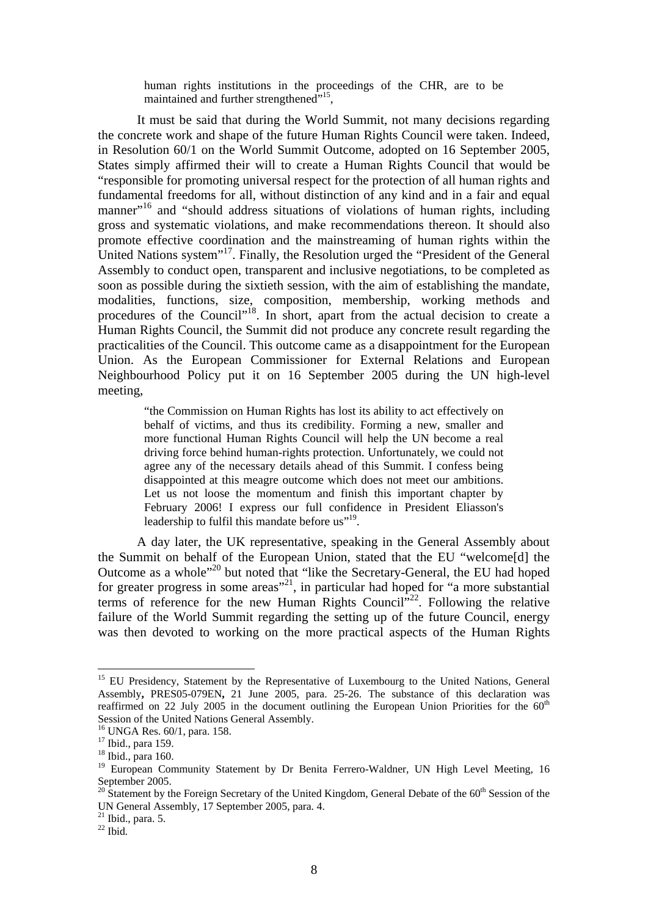human rights institutions in the proceedings of the CHR, are to be maintained and further strengthened"<sup>15</sup>,

It must be said that during the World Summit, not many decisions regarding the concrete work and shape of the future Human Rights Council were taken. Indeed, in Resolution 60/1 on the World Summit Outcome, adopted on 16 September 2005, States simply affirmed their will to create a Human Rights Council that would be "responsible for promoting universal respect for the protection of all human rights and fundamental freedoms for all, without distinction of any kind and in a fair and equal manner"<sup>16</sup> and "should address situations of violations of human rights, including gross and systematic violations, and make recommendations thereon. It should also promote effective coordination and the mainstreaming of human rights within the United Nations system"<sup>17</sup>. Finally, the Resolution urged the "President of the General" Assembly to conduct open, transparent and inclusive negotiations, to be completed as soon as possible during the sixtieth session, with the aim of establishing the mandate, modalities, functions, size, composition, membership, working methods and procedures of the Council"<sup>18</sup>. In short, apart from the actual decision to create a Human Rights Council, the Summit did not produce any concrete result regarding the practicalities of the Council. This outcome came as a disappointment for the European Union. As the European Commissioner for External Relations and European Neighbourhood Policy put it on 16 September 2005 during the UN high-level meeting,

"the Commission on Human Rights has lost its ability to act effectively on behalf of victims, and thus its credibility. Forming a new, smaller and more functional Human Rights Council will help the UN become a real driving force behind human-rights protection. Unfortunately, we could not agree any of the necessary details ahead of this Summit. I confess being disappointed at this meagre outcome which does not meet our ambitions. Let us not loose the momentum and finish this important chapter by February 2006! I express our full confidence in President Eliasson's leadership to fulfil this mandate before us"<sup>19</sup>.

A day later, the UK representative, speaking in the General Assembly about the Summit on behalf of the European Union, stated that the EU "welcome[d] the Outcome as a whole"20 but noted that "like the Secretary-General, the EU had hoped for greater progress in some areas"<sup>21</sup>, in particular had hoped for "a more substantial" terms of reference for the new Human Rights Council<sup> $22$ </sup>. Following the relative failure of the World Summit regarding the setting up of the future Council, energy was then devoted to working on the more practical aspects of the Human Rights

<sup>&</sup>lt;sup>15</sup> EU Presidency, Statement by the Representative of Luxembourg to the United Nations, General Assembly**,** PRES05-079EN**,** 21 June 2005, para. 25-26. The substance of this declaration was reaffirmed on 22 July 2005 in the document outlining the European Union Priorities for the  $60<sup>th</sup>$ Session of the United Nations General Assembly.

<sup>16</sup> UNGA Res. 60/1, para. 158.

<sup>&</sup>lt;sup>17</sup> Ibid., para 159.

<sup>18</sup> Ibid., para 160.

<sup>&</sup>lt;sup>19</sup> European Community Statement by Dr Benita Ferrero-Waldner, UN High Level Meeting, 16 September 2005.

<sup>&</sup>lt;sup>20</sup> Statement by the Foreign Secretary of the United Kingdom, General Debate of the 60<sup>th</sup> Session of the UN General Assembly, 17 September 2005, para. 4.

 $^{21}$  Ibid., para. 5.

<sup>22</sup> Ibid*.*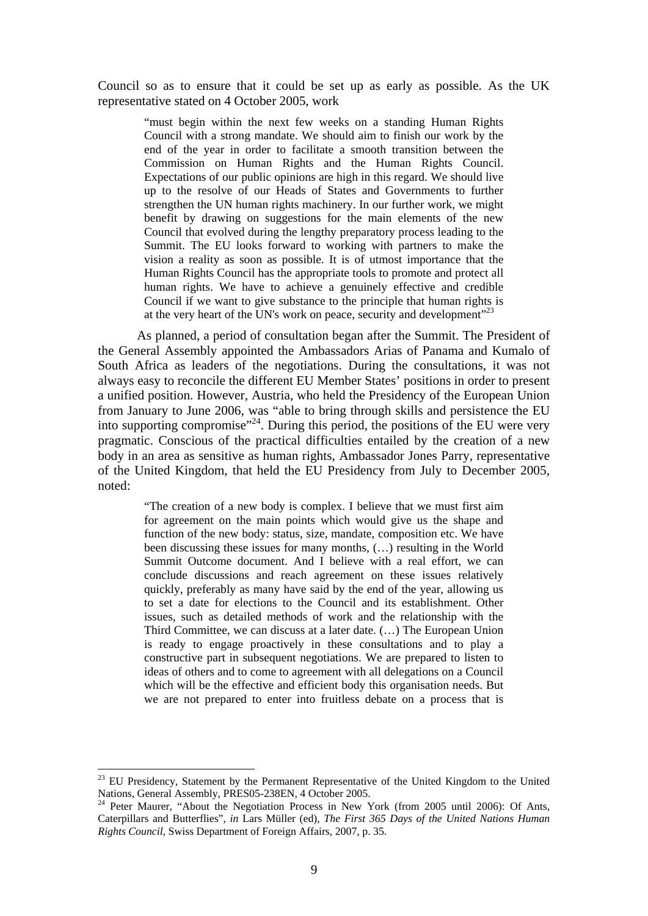Council so as to ensure that it could be set up as early as possible. As the UK representative stated on 4 October 2005, work

> "must begin within the next few weeks on a standing Human Rights Council with a strong mandate. We should aim to finish our work by the end of the year in order to facilitate a smooth transition between the Commission on Human Rights and the Human Rights Council. Expectations of our public opinions are high in this regard. We should live up to the resolve of our Heads of States and Governments to further strengthen the UN human rights machinery. In our further work, we might benefit by drawing on suggestions for the main elements of the new Council that evolved during the lengthy preparatory process leading to the Summit. The EU looks forward to working with partners to make the vision a reality as soon as possible. It is of utmost importance that the Human Rights Council has the appropriate tools to promote and protect all human rights. We have to achieve a genuinely effective and credible Council if we want to give substance to the principle that human rights is at the very heart of the UN's work on peace, security and development<sup>"23</sup>

As planned, a period of consultation began after the Summit. The President of the General Assembly appointed the Ambassadors Arias of Panama and Kumalo of South Africa as leaders of the negotiations. During the consultations, it was not always easy to reconcile the different EU Member States' positions in order to present a unified position. However, Austria, who held the Presidency of the European Union from January to June 2006, was "able to bring through skills and persistence the EU into supporting compromise"<sup>24</sup>. During this period, the positions of the EU were very pragmatic. Conscious of the practical difficulties entailed by the creation of a new body in an area as sensitive as human rights, Ambassador Jones Parry, representative of the United Kingdom, that held the EU Presidency from July to December 2005, noted:

> "The creation of a new body is complex. I believe that we must first aim for agreement on the main points which would give us the shape and function of the new body: status, size, mandate, composition etc. We have been discussing these issues for many months, (…) resulting in the World Summit Outcome document. And I believe with a real effort, we can conclude discussions and reach agreement on these issues relatively quickly, preferably as many have said by the end of the year, allowing us to set a date for elections to the Council and its establishment. Other issues, such as detailed methods of work and the relationship with the Third Committee, we can discuss at a later date. (…) The European Union is ready to engage proactively in these consultations and to play a constructive part in subsequent negotiations. We are prepared to listen to ideas of others and to come to agreement with all delegations on a Council which will be the effective and efficient body this organisation needs. But we are not prepared to enter into fruitless debate on a process that is

<u>.</u>

<sup>23</sup> EU Presidency, Statement by the Permanent Representative of the United Kingdom to the United Nations, General Assembly, PRES05-238EN, 4 October 2005.

 $24$  Peter Maurer, "About the Negotiation Process in New York (from 2005 until 2006): Of Ants, Caterpillars and Butterflies", *in* Lars Müller (ed), *The First 365 Days of the United Nations Human Rights Council*, Swiss Department of Foreign Affairs, 2007, p. 35.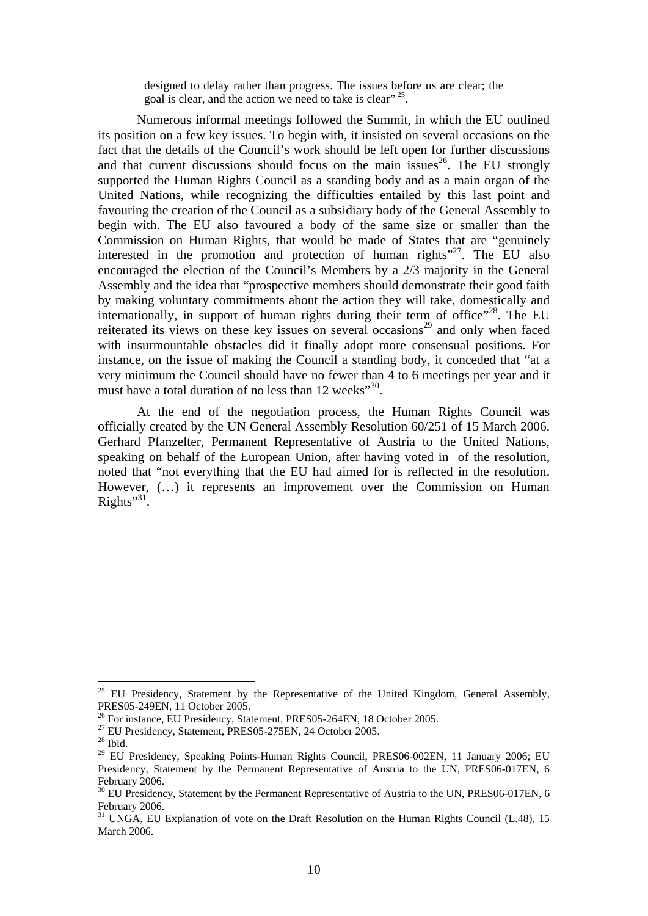designed to delay rather than progress. The issues before us are clear; the goal is clear, and the action we need to take is clear"<sup>25</sup>.

Numerous informal meetings followed the Summit, in which the EU outlined its position on a few key issues. To begin with, it insisted on several occasions on the fact that the details of the Council's work should be left open for further discussions and that current discussions should focus on the main issues<sup>26</sup>. The EU strongly supported the Human Rights Council as a standing body and as a main organ of the United Nations, while recognizing the difficulties entailed by this last point and favouring the creation of the Council as a subsidiary body of the General Assembly to begin with. The EU also favoured a body of the same size or smaller than the Commission on Human Rights, that would be made of States that are "genuinely interested in the promotion and protection of human rights $127$ . The EU also encouraged the election of the Council's Members by a 2/3 majority in the General Assembly and the idea that "prospective members should demonstrate their good faith by making voluntary commitments about the action they will take, domestically and internationally, in support of human rights during their term of office"<sup>28</sup>. The EU reiterated its views on these key issues on several occasions<sup>29</sup> and only when faced with insurmountable obstacles did it finally adopt more consensual positions. For instance, on the issue of making the Council a standing body, it conceded that "at a very minimum the Council should have no fewer than 4 to 6 meetings per year and it must have a total duration of no less than 12 weeks"<sup>30</sup>.

At the end of the negotiation process, the Human Rights Council was officially created by the UN General Assembly Resolution 60/251 of 15 March 2006. Gerhard Pfanzelter, Permanent Representative of Austria to the United Nations, speaking on behalf of the European Union, after having voted in of the resolution, noted that "not everything that the EU had aimed for is reflected in the resolution. However, (…) it represents an improvement over the Commission on Human Rights" $31$ .

<sup>&</sup>lt;sup>25</sup> EU Presidency, Statement by the Representative of the United Kingdom, General Assembly, PRES05-249EN, 11 October 2005.

<sup>&</sup>lt;sup>26</sup> For instance, EU Presidency, Statement, PRES05-264EN, 18 October 2005.<br><sup>27</sup> EU Presidency, Statement, PRES05-275EN, 24 October 2005.

<sup>28</sup> Ibid.

<sup>&</sup>lt;sup>29</sup> EU Presidency, Speaking Points-Human Rights Council, PRES06-002EN, 11 January 2006; EU Presidency, Statement by the Permanent Representative of Austria to the UN, PRES06-017EN, 6 February 2006.

<sup>&</sup>lt;sup>30</sup> EU Presidency, Statement by the Permanent Representative of Austria to the UN, PRES06-017EN, 6 February 2006.

<sup>&</sup>lt;sup>31</sup> UNGA. EU Explanation of vote on the Draft Resolution on the Human Rights Council (L.48), 15 March 2006.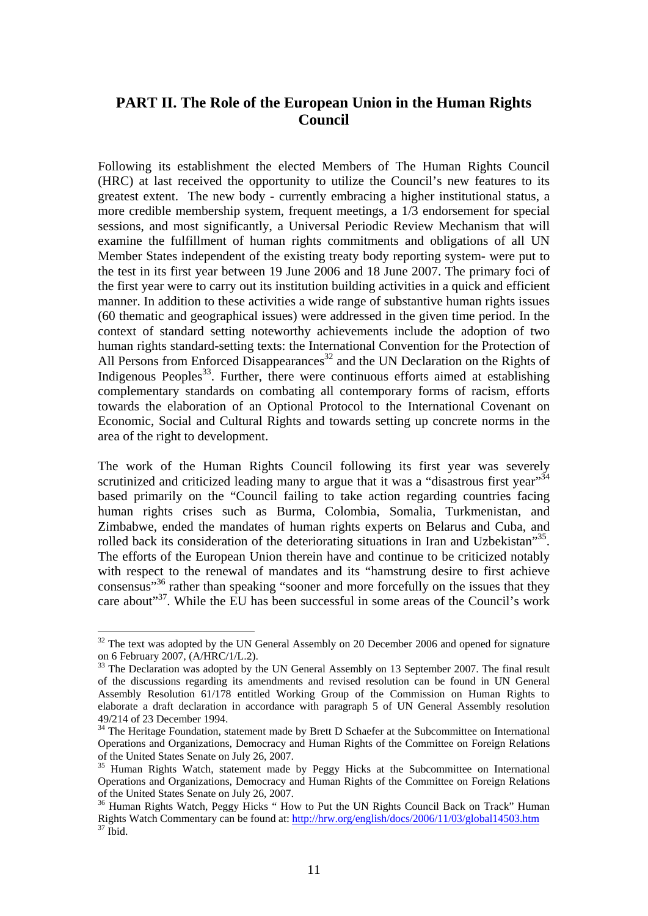# **PART II. The Role of the European Union in the Human Rights Council**

Following its establishment the elected Members of The Human Rights Council (HRC) at last received the opportunity to utilize the Council's new features to its greatest extent. The new body - currently embracing a higher institutional status, a more credible membership system, frequent meetings, a 1/3 endorsement for special sessions, and most significantly, a Universal Periodic Review Mechanism that will examine the fulfillment of human rights commitments and obligations of all UN Member States independent of the existing treaty body reporting system- were put to the test in its first year between 19 June 2006 and 18 June 2007. The primary foci of the first year were to carry out its institution building activities in a quick and efficient manner. In addition to these activities a wide range of substantive human rights issues (60 thematic and geographical issues) were addressed in the given time period. In the context of standard setting noteworthy achievements include the adoption of two human rights standard-setting texts: the International Convention for the Protection of All Persons from Enforced Disappearances<sup>32</sup> and the UN Declaration on the Rights of Indigenous Peoples<sup>33</sup>. Further, there were continuous efforts aimed at establishing complementary standards on combating all contemporary forms of racism, efforts towards the elaboration of an Optional Protocol to the International Covenant on Economic, Social and Cultural Rights and towards setting up concrete norms in the area of the right to development.

The work of the Human Rights Council following its first year was severely scrutinized and criticized leading many to argue that it was a "disastrous first year"<sup>34</sup> based primarily on the "Council failing to take action regarding countries facing human rights crises such as Burma, Colombia, Somalia, Turkmenistan, and Zimbabwe, ended the mandates of human rights experts on Belarus and Cuba, and rolled back its consideration of the deteriorating situations in Iran and Uzbekistan<sup>355</sup>. The efforts of the European Union therein have and continue to be criticized notably with respect to the renewal of mandates and its "hamstrung desire to first achieve consensus"<sup>36</sup> rather than speaking "sooner and more forcefully on the issues that they care about"37. While the EU has been successful in some areas of the Council's work

<sup>&</sup>lt;sup>32</sup> The text was adopted by the UN General Assembly on 20 December 2006 and opened for signature on 6 February 2007, (A/HRC/1/L.2).

<sup>&</sup>lt;sup>33</sup> The Declaration was adopted by the UN General Assembly on 13 September 2007. The final result of the discussions regarding its amendments and revised resolution can be found in UN General Assembly Resolution 61/178 entitled Working Group of the Commission on Human Rights to elaborate a draft declaration in accordance with paragraph 5 of UN General Assembly resolution 49/214 of 23 December 1994.

<sup>&</sup>lt;sup>34</sup> The Heritage Foundation, statement made by Brett D Schaefer at the Subcommittee on International Operations and Organizations, Democracy and Human Rights of the Committee on Foreign Relations of the United States Senate on July 26, 2007.

<sup>&</sup>lt;sup>35</sup> Human Rights Watch, statement made by Peggy Hicks at the Subcommittee on International Operations and Organizations, Democracy and Human Rights of the Committee on Foreign Relations of the United States Senate on July 26, 2007.

<sup>&</sup>lt;sup>36</sup> Human Rights Watch, Peggy Hicks " How to Put the UN Rights Council Back on Track" Human Rights Watch Commentary can be found at: http://hrw.org/english/docs/2006/11/03/global14503.htm<br><sup>37</sup> Ibid.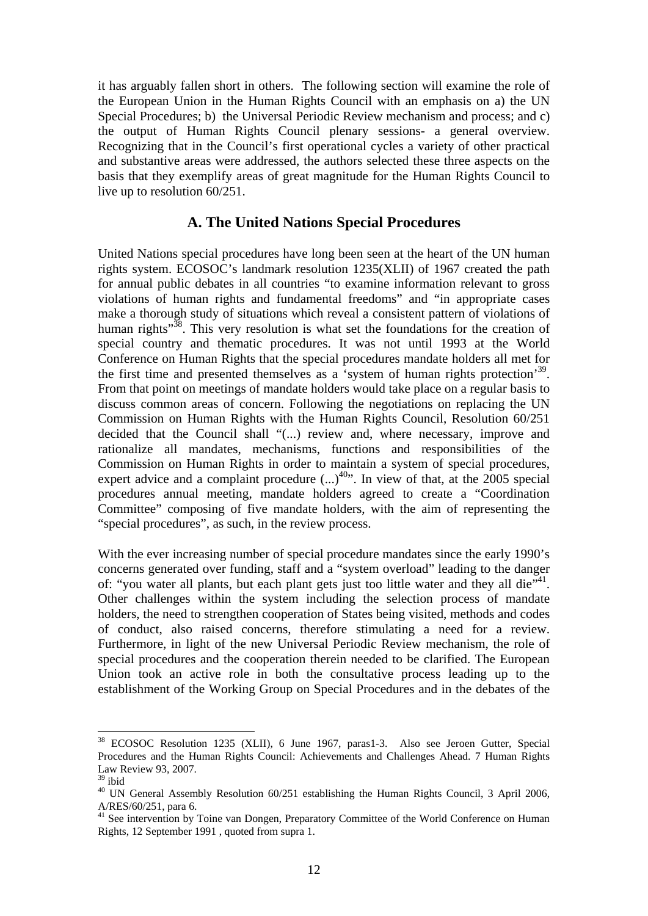it has arguably fallen short in others. The following section will examine the role of the European Union in the Human Rights Council with an emphasis on a) the UN Special Procedures; b) the Universal Periodic Review mechanism and process; and c) the output of Human Rights Council plenary sessions- a general overview. Recognizing that in the Council's first operational cycles a variety of other practical and substantive areas were addressed, the authors selected these three aspects on the basis that they exemplify areas of great magnitude for the Human Rights Council to live up to resolution 60/251.

### **A. The United Nations Special Procedures**

United Nations special procedures have long been seen at the heart of the UN human rights system. ECOSOC's landmark resolution 1235(XLII) of 1967 created the path for annual public debates in all countries "to examine information relevant to gross violations of human rights and fundamental freedoms" and "in appropriate cases make a thorough study of situations which reveal a consistent pattern of violations of human rights $^{38}$ . This very resolution is what set the foundations for the creation of special country and thematic procedures. It was not until 1993 at the World Conference on Human Rights that the special procedures mandate holders all met for the first time and presented themselves as a 'system of human rights protection'39. From that point on meetings of mandate holders would take place on a regular basis to discuss common areas of concern. Following the negotiations on replacing the UN Commission on Human Rights with the Human Rights Council, Resolution 60/251 decided that the Council shall "(...) review and, where necessary, improve and rationalize all mandates, mechanisms, functions and responsibilities of the Commission on Human Rights in order to maintain a system of special procedures, expert advice and a complaint procedure  $(...)^{40}$ . In view of that, at the 2005 special procedures annual meeting, mandate holders agreed to create a "Coordination Committee" composing of five mandate holders, with the aim of representing the "special procedures", as such, in the review process.

With the ever increasing number of special procedure mandates since the early 1990's concerns generated over funding, staff and a "system overload" leading to the danger of: "you water all plants, but each plant gets just too little water and they all die"<sup>41</sup>. Other challenges within the system including the selection process of mandate holders, the need to strengthen cooperation of States being visited, methods and codes of conduct, also raised concerns, therefore stimulating a need for a review. Furthermore, in light of the new Universal Periodic Review mechanism, the role of special procedures and the cooperation therein needed to be clarified. The European Union took an active role in both the consultative process leading up to the establishment of the Working Group on Special Procedures and in the debates of the

<u>.</u>

<sup>38</sup> ECOSOC Resolution 1235 (XLII), 6 June 1967, paras1-3. Also see Jeroen Gutter, Special Procedures and the Human Rights Council: Achievements and Challenges Ahead. 7 Human Rights Law Review 93, 2007.

 $^{39}$ ibid

<sup>&</sup>lt;sup>40</sup> UN General Assembly Resolution 60/251 establishing the Human Rights Council, 3 April 2006, A/RES/60/251, para 6.

<sup>&</sup>lt;sup>41</sup> See intervention by Toine van Dongen, Preparatory Committee of the World Conference on Human Rights, 12 September 1991 , quoted from supra 1.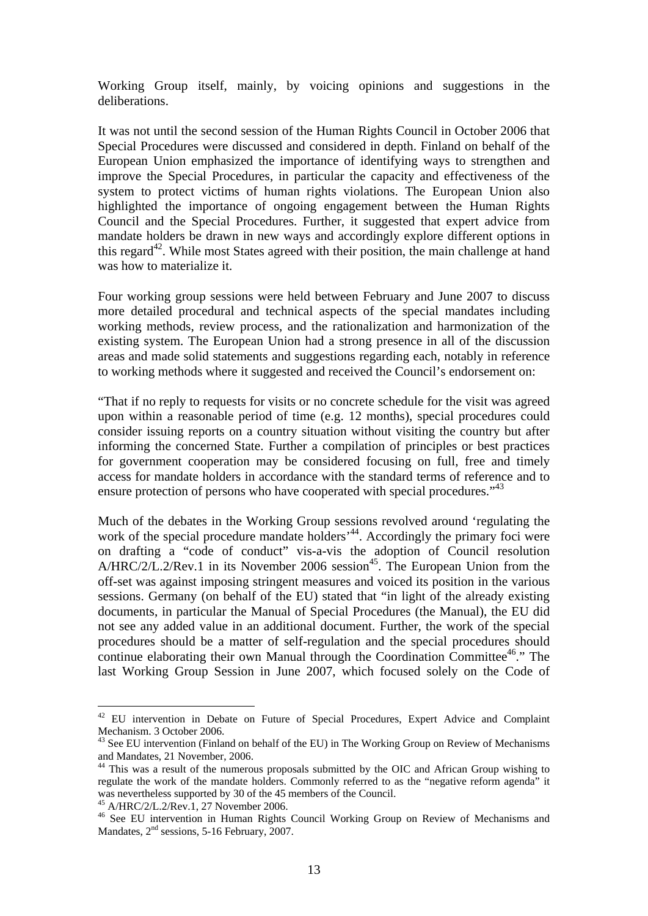Working Group itself, mainly, by voicing opinions and suggestions in the deliberations.

It was not until the second session of the Human Rights Council in October 2006 that Special Procedures were discussed and considered in depth. Finland on behalf of the European Union emphasized the importance of identifying ways to strengthen and improve the Special Procedures, in particular the capacity and effectiveness of the system to protect victims of human rights violations. The European Union also highlighted the importance of ongoing engagement between the Human Rights Council and the Special Procedures. Further, it suggested that expert advice from mandate holders be drawn in new ways and accordingly explore different options in this regard<sup>42</sup>. While most States agreed with their position, the main challenge at hand was how to materialize it.

Four working group sessions were held between February and June 2007 to discuss more detailed procedural and technical aspects of the special mandates including working methods, review process, and the rationalization and harmonization of the existing system. The European Union had a strong presence in all of the discussion areas and made solid statements and suggestions regarding each, notably in reference to working methods where it suggested and received the Council's endorsement on:

"That if no reply to requests for visits or no concrete schedule for the visit was agreed upon within a reasonable period of time (e.g. 12 months), special procedures could consider issuing reports on a country situation without visiting the country but after informing the concerned State. Further a compilation of principles or best practices for government cooperation may be considered focusing on full, free and timely access for mandate holders in accordance with the standard terms of reference and to ensure protection of persons who have cooperated with special procedures."<sup>43</sup>

Much of the debates in the Working Group sessions revolved around 'regulating the work of the special procedure mandate holders<sup>,44</sup>. Accordingly the primary foci were on drafting a "code of conduct" vis-a-vis the adoption of Council resolution A/HRC/2/L.2/Rev.1 in its November 2006 session<sup>45</sup>. The European Union from the off-set was against imposing stringent measures and voiced its position in the various sessions. Germany (on behalf of the EU) stated that "in light of the already existing documents, in particular the Manual of Special Procedures (the Manual), the EU did not see any added value in an additional document. Further, the work of the special procedures should be a matter of self-regulation and the special procedures should continue elaborating their own Manual through the Coordination Committee<sup>46</sup>." The last Working Group Session in June 2007, which focused solely on the Code of

<sup>&</sup>lt;sup>42</sup> EU intervention in Debate on Future of Special Procedures, Expert Advice and Complaint Mechanism. 3 October 2006.

<sup>&</sup>lt;sup>43</sup> See EU intervention (Finland on behalf of the EU) in The Working Group on Review of Mechanisms and Mandates, 21 November, 2006.

<sup>&</sup>lt;sup>44</sup> This was a result of the numerous proposals submitted by the OIC and African Group wishing to regulate the work of the mandate holders. Commonly referred to as the "negative reform agenda" it was nevertheless supported by 30 of the 45 members of the Council.

 $A/HRC/2/L.2/Rev.1, 27 November 2006.$ 

<sup>46</sup> See EU intervention in Human Rights Council Working Group on Review of Mechanisms and Mandates,  $2<sup>nd</sup>$  sessions, 5-16 February, 2007.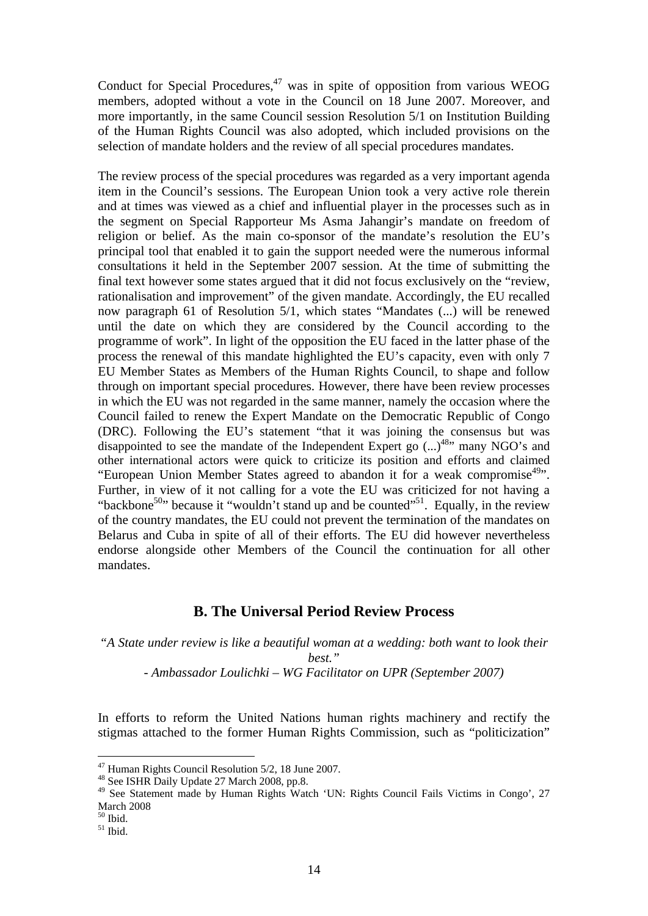Conduct for Special Procedures, $47$  was in spite of opposition from various WEOG members, adopted without a vote in the Council on 18 June 2007. Moreover, and more importantly, in the same Council session Resolution 5/1 on Institution Building of the Human Rights Council was also adopted, which included provisions on the selection of mandate holders and the review of all special procedures mandates.

The review process of the special procedures was regarded as a very important agenda item in the Council's sessions. The European Union took a very active role therein and at times was viewed as a chief and influential player in the processes such as in the segment on Special Rapporteur Ms Asma Jahangir's mandate on freedom of religion or belief. As the main co-sponsor of the mandate's resolution the EU's principal tool that enabled it to gain the support needed were the numerous informal consultations it held in the September 2007 session. At the time of submitting the final text however some states argued that it did not focus exclusively on the "review, rationalisation and improvement" of the given mandate. Accordingly, the EU recalled now paragraph 61 of Resolution 5/1, which states "Mandates (...) will be renewed until the date on which they are considered by the Council according to the programme of work". In light of the opposition the EU faced in the latter phase of the process the renewal of this mandate highlighted the EU's capacity, even with only 7 EU Member States as Members of the Human Rights Council, to shape and follow through on important special procedures. However, there have been review processes in which the EU was not regarded in the same manner, namely the occasion where the Council failed to renew the Expert Mandate on the Democratic Republic of Congo (DRC). Following the EU's statement "that it was joining the consensus but was disappointed to see the mandate of the Independent Expert go  $\dots$ <sup>48</sup> many NGO's and other international actors were quick to criticize its position and efforts and claimed "European Union Member States agreed to abandon it for a weak compromise<sup>49</sup>". Further, in view of it not calling for a vote the EU was criticized for not having a "backbone<sup>50</sup>" because it "wouldn't stand up and be counted"<sup>51</sup>. Equally, in the review of the country mandates, the EU could not prevent the termination of the mandates on Belarus and Cuba in spite of all of their efforts. The EU did however nevertheless endorse alongside other Members of the Council the continuation for all other mandates.

# **B. The Universal Period Review Process**

*"A State under review is like a beautiful woman at a wedding: both want to look their best."* 

- *Ambassador Loulichki – WG Facilitator on UPR (September 2007)* 

In efforts to reform the United Nations human rights machinery and rectify the stigmas attached to the former Human Rights Commission, such as "politicization"

<sup>&</sup>lt;sup>47</sup> Human Rights Council Resolution 5/2, 18 June 2007.

<sup>&</sup>lt;sup>48</sup> See ISHR Daily Update 27 March 2008, pp.8.

<sup>&</sup>lt;sup>49</sup> See Statement made by Human Rights Watch 'UN: Rights Council Fails Victims in Congo', 27 March 2008

 $50$  Ibid.

 $51$  Ibid.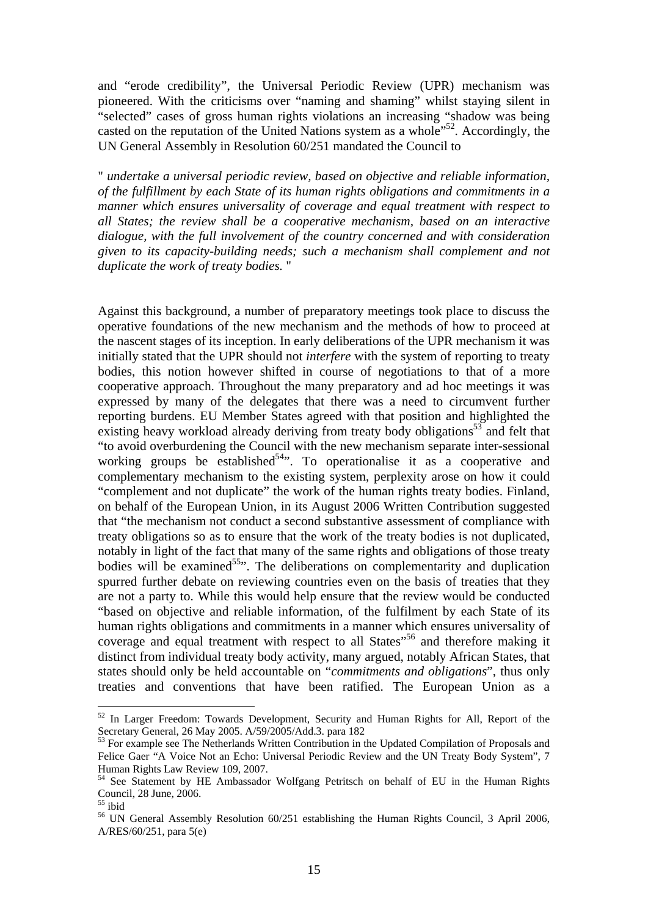and "erode credibility", the Universal Periodic Review (UPR) mechanism was pioneered. With the criticisms over "naming and shaming" whilst staying silent in "selected" cases of gross human rights violations an increasing "shadow was being casted on the reputation of the United Nations system as a whole<sup>"52</sup>. Accordingly, the UN General Assembly in Resolution 60/251 mandated the Council to

" *undertake a universal periodic review, based on objective and reliable information, of the fulfillment by each State of its human rights obligations and commitments in a manner which ensures universality of coverage and equal treatment with respect to all States; the review shall be a cooperative mechanism, based on an interactive dialogue, with the full involvement of the country concerned and with consideration given to its capacity-building needs; such a mechanism shall complement and not duplicate the work of treaty bodies.* "

Against this background, a number of preparatory meetings took place to discuss the operative foundations of the new mechanism and the methods of how to proceed at the nascent stages of its inception. In early deliberations of the UPR mechanism it was initially stated that the UPR should not *interfere* with the system of reporting to treaty bodies, this notion however shifted in course of negotiations to that of a more cooperative approach. Throughout the many preparatory and ad hoc meetings it was expressed by many of the delegates that there was a need to circumvent further reporting burdens. EU Member States agreed with that position and highlighted the existing heavy workload already deriving from treaty body obligations<sup>53</sup> and felt that "to avoid overburdening the Council with the new mechanism separate inter-sessional working groups be established<sup>54</sup>. To operationalise it as a cooperative and complementary mechanism to the existing system, perplexity arose on how it could "complement and not duplicate" the work of the human rights treaty bodies. Finland, on behalf of the European Union, in its August 2006 Written Contribution suggested that "the mechanism not conduct a second substantive assessment of compliance with treaty obligations so as to ensure that the work of the treaty bodies is not duplicated, notably in light of the fact that many of the same rights and obligations of those treaty bodies will be examined<sup>55</sup>". The deliberations on complementarity and duplication spurred further debate on reviewing countries even on the basis of treaties that they are not a party to. While this would help ensure that the review would be conducted "based on objective and reliable information, of the fulfilment by each State of its human rights obligations and commitments in a manner which ensures universality of coverage and equal treatment with respect to all States<sup>"56</sup> and therefore making it distinct from individual treaty body activity, many argued, notably African States, that states should only be held accountable on "*commitments and obligations*", thus only treaties and conventions that have been ratified. The European Union as a

<sup>&</sup>lt;sup>52</sup> In Larger Freedom: Towards Development, Security and Human Rights for All, Report of the Secretary General, 26 May 2005. A/59/2005/Add.3. para 182

<sup>&</sup>lt;sup>53</sup> For example see The Netherlands Written Contribution in the Updated Compilation of Proposals and Felice Gaer "A Voice Not an Echo: Universal Periodic Review and the UN Treaty Body System", 7 Human Rights Law Review 109, 2007.

<sup>&</sup>lt;sup>54</sup> See Statement by HE Ambassador Wolfgang Petritsch on behalf of EU in the Human Rights Council, 28 June, 2006.

 $55$  ibid

<sup>&</sup>lt;sup>56</sup> UN General Assembly Resolution 60/251 establishing the Human Rights Council, 3 April 2006, A/RES/60/251, para 5(e)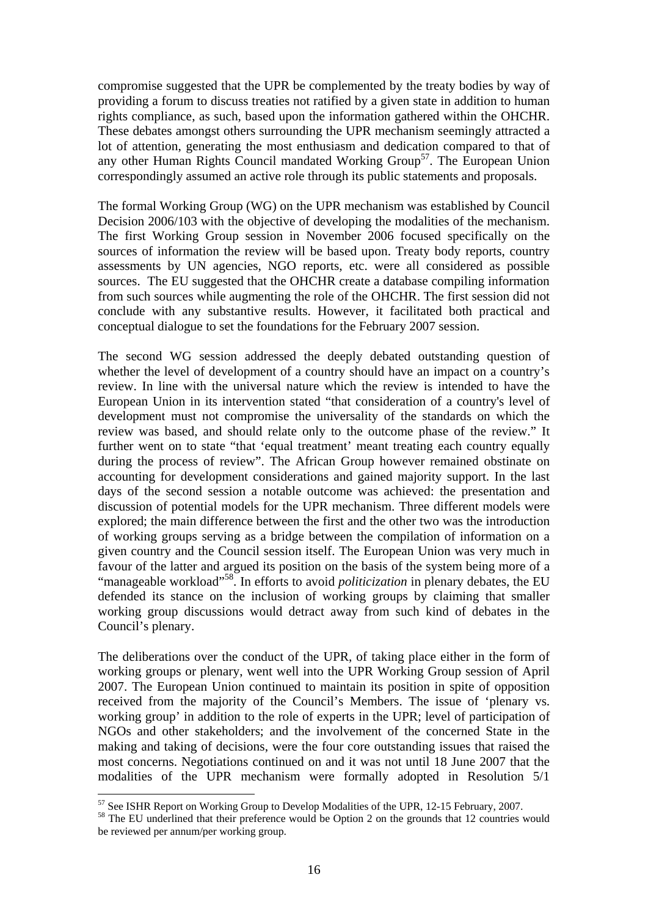compromise suggested that the UPR be complemented by the treaty bodies by way of providing a forum to discuss treaties not ratified by a given state in addition to human rights compliance, as such, based upon the information gathered within the OHCHR. These debates amongst others surrounding the UPR mechanism seemingly attracted a lot of attention, generating the most enthusiasm and dedication compared to that of any other Human Rights Council mandated Working Group<sup>57</sup>. The European Union correspondingly assumed an active role through its public statements and proposals.

The formal Working Group (WG) on the UPR mechanism was established by Council Decision 2006/103 with the objective of developing the modalities of the mechanism. The first Working Group session in November 2006 focused specifically on the sources of information the review will be based upon. Treaty body reports, country assessments by UN agencies, NGO reports, etc. were all considered as possible sources. The EU suggested that the OHCHR create a database compiling information from such sources while augmenting the role of the OHCHR. The first session did not conclude with any substantive results. However, it facilitated both practical and conceptual dialogue to set the foundations for the February 2007 session.

The second WG session addressed the deeply debated outstanding question of whether the level of development of a country should have an impact on a country's review. In line with the universal nature which the review is intended to have the European Union in its intervention stated "that consideration of a country's level of development must not compromise the universality of the standards on which the review was based, and should relate only to the outcome phase of the review." It further went on to state "that 'equal treatment' meant treating each country equally during the process of review". The African Group however remained obstinate on accounting for development considerations and gained majority support. In the last days of the second session a notable outcome was achieved: the presentation and discussion of potential models for the UPR mechanism. Three different models were explored; the main difference between the first and the other two was the introduction of working groups serving as a bridge between the compilation of information on a given country and the Council session itself. The European Union was very much in favour of the latter and argued its position on the basis of the system being more of a "manageable workload"58. In efforts to avoid *politicization* in plenary debates, the EU defended its stance on the inclusion of working groups by claiming that smaller working group discussions would detract away from such kind of debates in the Council's plenary.

The deliberations over the conduct of the UPR, of taking place either in the form of working groups or plenary, went well into the UPR Working Group session of April 2007. The European Union continued to maintain its position in spite of opposition received from the majority of the Council's Members. The issue of 'plenary vs. working group' in addition to the role of experts in the UPR; level of participation of NGOs and other stakeholders; and the involvement of the concerned State in the making and taking of decisions, were the four core outstanding issues that raised the most concerns. Negotiations continued on and it was not until 18 June 2007 that the modalities of the UPR mechanism were formally adopted in Resolution 5/1

<sup>57</sup> See ISHR Report on Working Group to Develop Modalities of the UPR, 12-15 February, 2007.

<sup>&</sup>lt;sup>58</sup> The EU underlined that their preference would be Option 2 on the grounds that 12 countries would be reviewed per annum/per working group.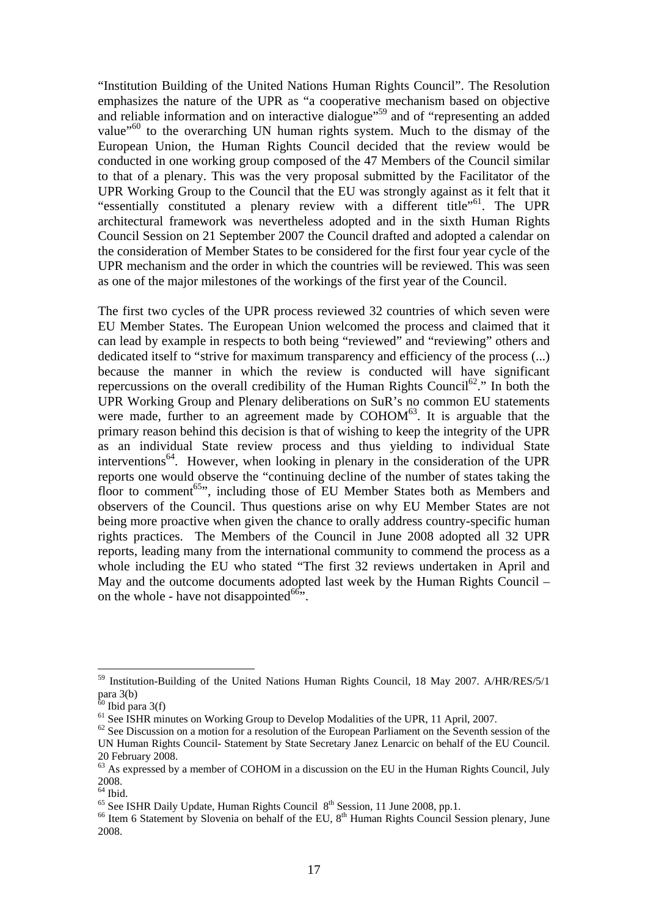"Institution Building of the United Nations Human Rights Council". The Resolution emphasizes the nature of the UPR as "a cooperative mechanism based on objective and reliable information and on interactive dialogue"<sup>59</sup> and of "representing an added value<sup>"60</sup> to the overarching UN human rights system. Much to the dismay of the European Union, the Human Rights Council decided that the review would be conducted in one working group composed of the 47 Members of the Council similar to that of a plenary. This was the very proposal submitted by the Facilitator of the UPR Working Group to the Council that the EU was strongly against as it felt that it "essentially constituted a plenary review with a different title"<sup>61</sup>. The UPR architectural framework was nevertheless adopted and in the sixth Human Rights Council Session on 21 September 2007 the Council drafted and adopted a calendar on the consideration of Member States to be considered for the first four year cycle of the UPR mechanism and the order in which the countries will be reviewed. This was seen as one of the major milestones of the workings of the first year of the Council.

The first two cycles of the UPR process reviewed 32 countries of which seven were EU Member States. The European Union welcomed the process and claimed that it can lead by example in respects to both being "reviewed" and "reviewing" others and dedicated itself to "strive for maximum transparency and efficiency of the process (...) because the manner in which the review is conducted will have significant repercussions on the overall credibility of the Human Rights Council<sup>62</sup>." In both the UPR Working Group and Plenary deliberations on SuR's no common EU statements were made, further to an agreement made by  $\text{COHOM}^{63}$ . It is arguable that the primary reason behind this decision is that of wishing to keep the integrity of the UPR as an individual State review process and thus yielding to individual State interventions<sup>64</sup>. However, when looking in plenary in the consideration of the UPR reports one would observe the "continuing decline of the number of states taking the floor to comment<sup>65</sup>", including those of EU Member States both as Members and observers of the Council. Thus questions arise on why EU Member States are not being more proactive when given the chance to orally address country-specific human rights practices. The Members of the Council in June 2008 adopted all 32 UPR reports, leading many from the international community to commend the process as a whole including the EU who stated "The first 32 reviews undertaken in April and May and the outcome documents adopted last week by the Human Rights Council – on the whole - have not disappointed $66$ .

<sup>&</sup>lt;sup>59</sup> Institution-Building of the United Nations Human Rights Council, 18 May 2007. A/HR/RES/5/1 para 3(b)

 $60$  Ibid para 3(f)

<sup>&</sup>lt;sup>61</sup> See ISHR minutes on Working Group to Develop Modalities of the UPR, 11 April, 2007.

 $62$  See Discussion on a motion for a resolution of the European Parliament on the Seventh session of the UN Human Rights Council- Statement by State Secretary Janez Lenarcic on behalf of the EU Council. 20 February 2008.

 $63$  As expressed by a member of COHOM in a discussion on the EU in the Human Rights Council, July 2008.

 $64$  Ibid.

<sup>&</sup>lt;sup>65</sup> See ISHR Daily Update, Human Rights Council  $8<sup>th</sup>$  Session, 11 June 2008, pp.1.<br><sup>66</sup> Item 6 Statement by Slovenia on behalf of the EU,  $8<sup>th</sup>$  Human Rights Council Session plenary, June 2008.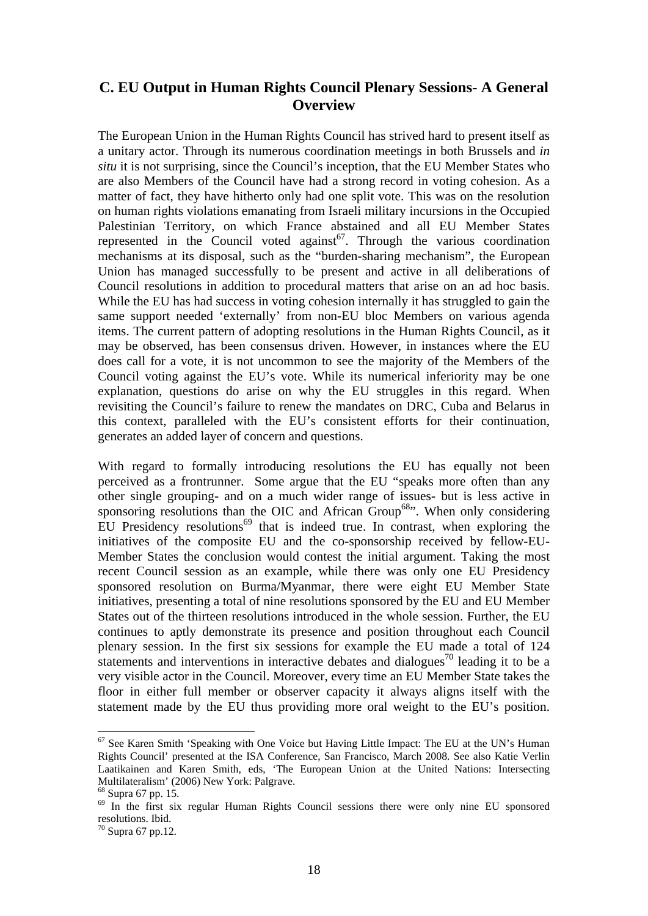# **C. EU Output in Human Rights Council Plenary Sessions- A General Overview**

The European Union in the Human Rights Council has strived hard to present itself as a unitary actor. Through its numerous coordination meetings in both Brussels and *in situ* it is not surprising, since the Council's inception, that the EU Member States who are also Members of the Council have had a strong record in voting cohesion. As a matter of fact, they have hitherto only had one split vote. This was on the resolution on human rights violations emanating from Israeli military incursions in the Occupied Palestinian Territory, on which France abstained and all EU Member States represented in the Council voted against<sup>67</sup>. Through the various coordination mechanisms at its disposal, such as the "burden-sharing mechanism", the European Union has managed successfully to be present and active in all deliberations of Council resolutions in addition to procedural matters that arise on an ad hoc basis. While the EU has had success in voting cohesion internally it has struggled to gain the same support needed 'externally' from non-EU bloc Members on various agenda items. The current pattern of adopting resolutions in the Human Rights Council, as it may be observed, has been consensus driven. However, in instances where the EU does call for a vote, it is not uncommon to see the majority of the Members of the Council voting against the EU's vote. While its numerical inferiority may be one explanation, questions do arise on why the EU struggles in this regard. When revisiting the Council's failure to renew the mandates on DRC, Cuba and Belarus in this context, paralleled with the EU's consistent efforts for their continuation, generates an added layer of concern and questions.

With regard to formally introducing resolutions the EU has equally not been perceived as a frontrunner. Some argue that the EU "speaks more often than any other single grouping- and on a much wider range of issues- but is less active in sponsoring resolutions than the OIC and African Group<sup>68</sup>". When only considering EU Presidency resolutions<sup>69</sup> that is indeed true. In contrast, when exploring the initiatives of the composite EU and the co-sponsorship received by fellow-EU-Member States the conclusion would contest the initial argument. Taking the most recent Council session as an example, while there was only one EU Presidency sponsored resolution on Burma/Myanmar, there were eight EU Member State initiatives, presenting a total of nine resolutions sponsored by the EU and EU Member States out of the thirteen resolutions introduced in the whole session. Further, the EU continues to aptly demonstrate its presence and position throughout each Council plenary session. In the first six sessions for example the EU made a total of 124 statements and interventions in interactive debates and dialogues<sup>70</sup> leading it to be a very visible actor in the Council. Moreover, every time an EU Member State takes the floor in either full member or observer capacity it always aligns itself with the statement made by the EU thus providing more oral weight to the EU's position.

<u>.</u>

<sup>&</sup>lt;sup>67</sup> See Karen Smith 'Speaking with One Voice but Having Little Impact: The EU at the UN's Human Rights Council' presented at the ISA Conference, San Francisco, March 2008. See also Katie Verlin Laatikainen and Karen Smith, eds, 'The European Union at the United Nations: Intersecting Multilateralism' (2006) New York: Palgrave.

<sup>68</sup> Supra 67 pp. 15.

<sup>&</sup>lt;sup>69</sup> In the first six regular Human Rights Council sessions there were only nine EU sponsored resolutions. Ibid.

 $70$  Supra 67 pp.12.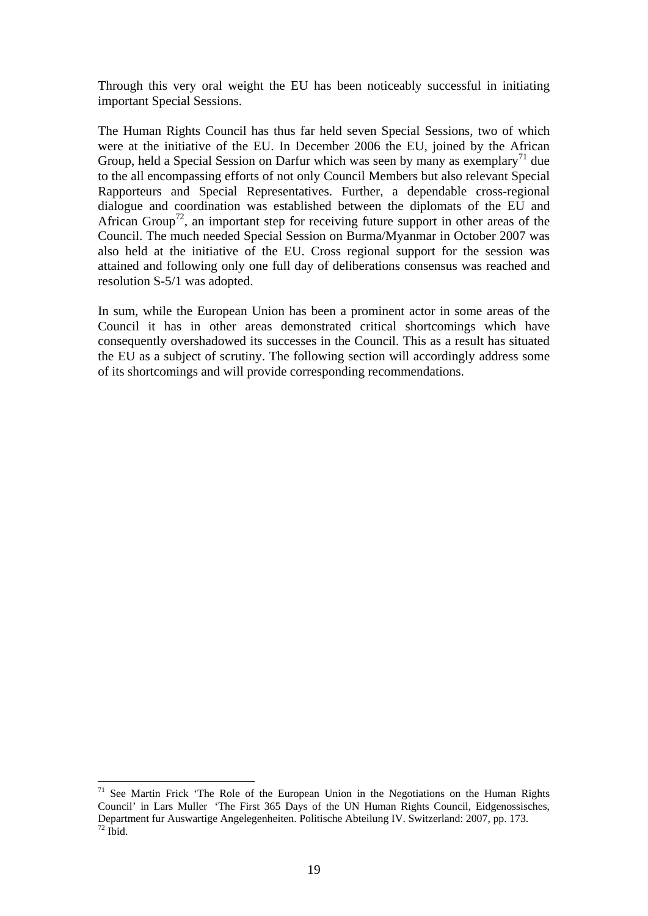Through this very oral weight the EU has been noticeably successful in initiating important Special Sessions.

The Human Rights Council has thus far held seven Special Sessions, two of which were at the initiative of the EU. In December 2006 the EU, joined by the African Group, held a Special Session on Darfur which was seen by many as exemplary<sup>71</sup> due to the all encompassing efforts of not only Council Members but also relevant Special Rapporteurs and Special Representatives. Further, a dependable cross-regional dialogue and coordination was established between the diplomats of the EU and African Group<sup>72</sup>, an important step for receiving future support in other areas of the Council. The much needed Special Session on Burma/Myanmar in October 2007 was also held at the initiative of the EU. Cross regional support for the session was attained and following only one full day of deliberations consensus was reached and resolution S-5/1 was adopted.

In sum, while the European Union has been a prominent actor in some areas of the Council it has in other areas demonstrated critical shortcomings which have consequently overshadowed its successes in the Council. This as a result has situated the EU as a subject of scrutiny. The following section will accordingly address some of its shortcomings and will provide corresponding recommendations.

 $71$  See Martin Frick 'The Role of the European Union in the Negotiations on the Human Rights Council' in Lars Muller 'The First 365 Days of the UN Human Rights Council, Eidgenossisches, Department fur Auswartige Angelegenheiten. Politische Abteilung IV. Switzerland: 2007, pp. 173. 72 Ibid.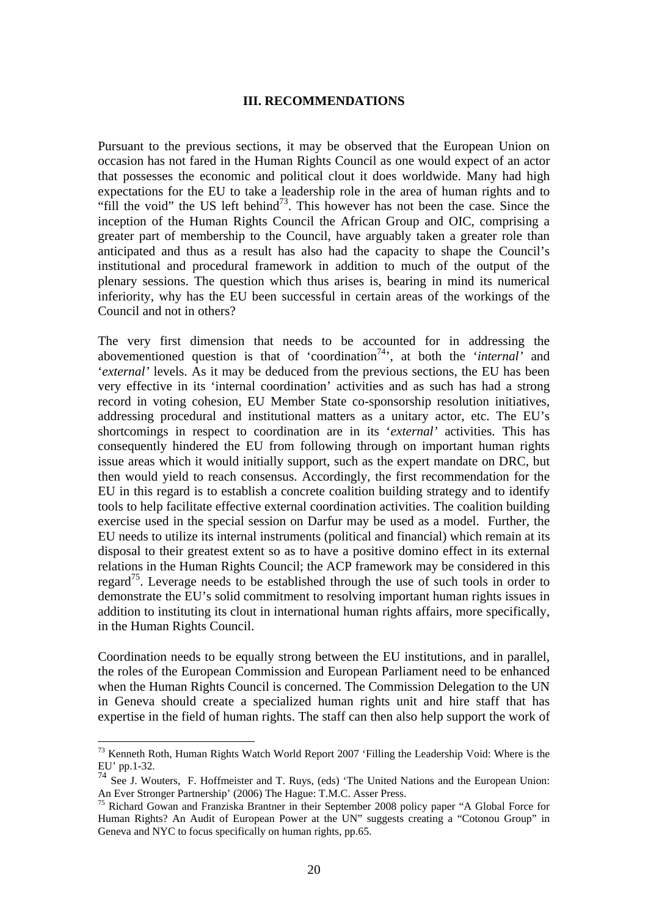#### **III. RECOMMENDATIONS**

Pursuant to the previous sections, it may be observed that the European Union on occasion has not fared in the Human Rights Council as one would expect of an actor that possesses the economic and political clout it does worldwide. Many had high expectations for the EU to take a leadership role in the area of human rights and to "fill the void" the US left behind<sup> $73$ </sup>. This however has not been the case. Since the inception of the Human Rights Council the African Group and OIC, comprising a greater part of membership to the Council, have arguably taken a greater role than anticipated and thus as a result has also had the capacity to shape the Council's institutional and procedural framework in addition to much of the output of the plenary sessions. The question which thus arises is, bearing in mind its numerical inferiority, why has the EU been successful in certain areas of the workings of the Council and not in others?

The very first dimension that needs to be accounted for in addressing the abovementioned question is that of 'coordination<sup>74</sup>', at both the '*internal*' and '*external'* levels. As it may be deduced from the previous sections, the EU has been very effective in its 'internal coordination' activities and as such has had a strong record in voting cohesion, EU Member State co-sponsorship resolution initiatives, addressing procedural and institutional matters as a unitary actor, etc. The EU's shortcomings in respect to coordination are in its '*external'* activities. This has consequently hindered the EU from following through on important human rights issue areas which it would initially support, such as the expert mandate on DRC, but then would yield to reach consensus. Accordingly, the first recommendation for the EU in this regard is to establish a concrete coalition building strategy and to identify tools to help facilitate effective external coordination activities. The coalition building exercise used in the special session on Darfur may be used as a model. Further, the EU needs to utilize its internal instruments (political and financial) which remain at its disposal to their greatest extent so as to have a positive domino effect in its external relations in the Human Rights Council; the ACP framework may be considered in this regard<sup>75</sup>. Leverage needs to be established through the use of such tools in order to demonstrate the EU's solid commitment to resolving important human rights issues in addition to instituting its clout in international human rights affairs, more specifically, in the Human Rights Council.

Coordination needs to be equally strong between the EU institutions, and in parallel, the roles of the European Commission and European Parliament need to be enhanced when the Human Rights Council is concerned. The Commission Delegation to the UN in Geneva should create a specialized human rights unit and hire staff that has expertise in the field of human rights. The staff can then also help support the work of

<sup>&</sup>lt;sup>73</sup> Kenneth Roth, Human Rights Watch World Report 2007 'Filling the Leadership Void: Where is the EU' pp.1-32.

 $\frac{74}{74}$  See J. Wouters, F. Hoffmeister and T. Ruys, (eds) 'The United Nations and the European Union: An Ever Stronger Partnership' (2006) The Hague: T.M.C. Asser Press.

<sup>&</sup>lt;sup>75</sup> Richard Gowan and Franziska Brantner in their September 2008 policy paper "A Global Force for Human Rights? An Audit of European Power at the UN" suggests creating a "Cotonou Group" in Geneva and NYC to focus specifically on human rights, pp.65.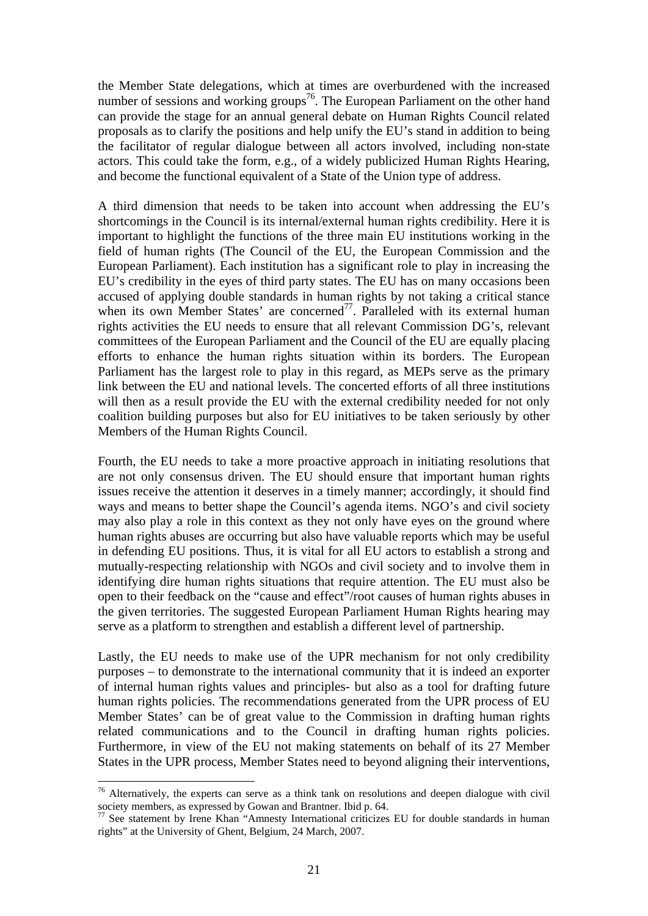the Member State delegations, which at times are overburdened with the increased number of sessions and working groups<sup>76</sup>. The European Parliament on the other hand can provide the stage for an annual general debate on Human Rights Council related proposals as to clarify the positions and help unify the EU's stand in addition to being the facilitator of regular dialogue between all actors involved, including non-state actors. This could take the form, e.g., of a widely publicized Human Rights Hearing, and become the functional equivalent of a State of the Union type of address.

A third dimension that needs to be taken into account when addressing the EU's shortcomings in the Council is its internal/external human rights credibility. Here it is important to highlight the functions of the three main EU institutions working in the field of human rights (The Council of the EU, the European Commission and the European Parliament). Each institution has a significant role to play in increasing the EU's credibility in the eyes of third party states. The EU has on many occasions been accused of applying double standards in human rights by not taking a critical stance when its own Member States' are concerned<sup>77</sup>. Paralleled with its external human rights activities the EU needs to ensure that all relevant Commission DG's, relevant committees of the European Parliament and the Council of the EU are equally placing efforts to enhance the human rights situation within its borders. The European Parliament has the largest role to play in this regard, as MEPs serve as the primary link between the EU and national levels. The concerted efforts of all three institutions will then as a result provide the EU with the external credibility needed for not only coalition building purposes but also for EU initiatives to be taken seriously by other Members of the Human Rights Council.

Fourth, the EU needs to take a more proactive approach in initiating resolutions that are not only consensus driven. The EU should ensure that important human rights issues receive the attention it deserves in a timely manner; accordingly, it should find ways and means to better shape the Council's agenda items. NGO's and civil society may also play a role in this context as they not only have eyes on the ground where human rights abuses are occurring but also have valuable reports which may be useful in defending EU positions. Thus, it is vital for all EU actors to establish a strong and mutually-respecting relationship with NGOs and civil society and to involve them in identifying dire human rights situations that require attention. The EU must also be open to their feedback on the "cause and effect"/root causes of human rights abuses in the given territories. The suggested European Parliament Human Rights hearing may serve as a platform to strengthen and establish a different level of partnership.

Lastly, the EU needs to make use of the UPR mechanism for not only credibility purposes – to demonstrate to the international community that it is indeed an exporter of internal human rights values and principles- but also as a tool for drafting future human rights policies. The recommendations generated from the UPR process of EU Member States' can be of great value to the Commission in drafting human rights related communications and to the Council in drafting human rights policies. Furthermore, in view of the EU not making statements on behalf of its 27 Member States in the UPR process, Member States need to beyond aligning their interventions,

 $76$  Alternatively, the experts can serve as a think tank on resolutions and deepen dialogue with civil society members, as expressed by Gowan and Brantner. Ibid p. 64.

society members, as expressed by Gowan and Brantner. If  $\frac{1}{4}$  is the property of the standards in human  $\frac{1}{77}$  See statement by Irene Khan "Amnesty International criticizes EU for double standards in human rights" at the University of Ghent, Belgium, 24 March, 2007.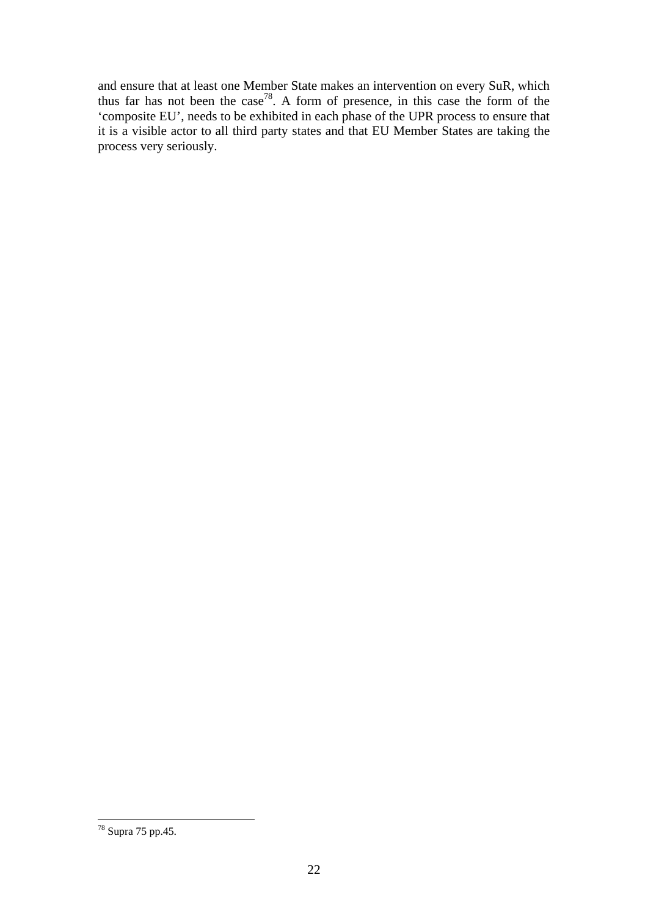and ensure that at least one Member State makes an intervention on every SuR, which thus far has not been the case<sup>78</sup>. A form of presence, in this case the form of the 'composite EU', needs to be exhibited in each phase of the UPR process to ensure that it is a visible actor to all third party states and that EU Member States are taking the process very seriously.

 $78$  Supra 75 pp.45.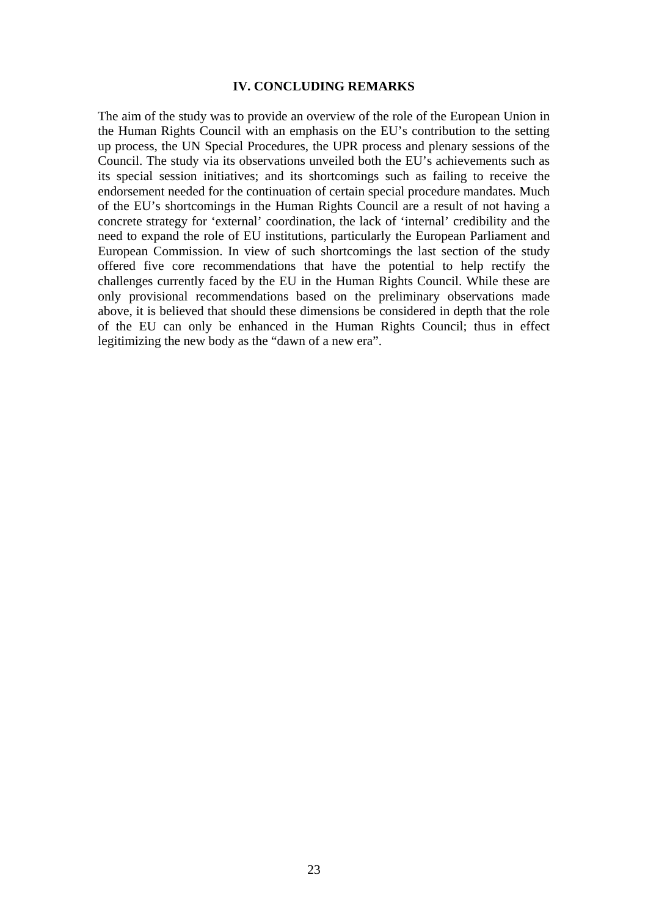#### **IV. CONCLUDING REMARKS**

The aim of the study was to provide an overview of the role of the European Union in the Human Rights Council with an emphasis on the EU's contribution to the setting up process, the UN Special Procedures, the UPR process and plenary sessions of the Council. The study via its observations unveiled both the EU's achievements such as its special session initiatives; and its shortcomings such as failing to receive the endorsement needed for the continuation of certain special procedure mandates. Much of the EU's shortcomings in the Human Rights Council are a result of not having a concrete strategy for 'external' coordination, the lack of 'internal' credibility and the need to expand the role of EU institutions, particularly the European Parliament and European Commission. In view of such shortcomings the last section of the study offered five core recommendations that have the potential to help rectify the challenges currently faced by the EU in the Human Rights Council. While these are only provisional recommendations based on the preliminary observations made above, it is believed that should these dimensions be considered in depth that the role of the EU can only be enhanced in the Human Rights Council; thus in effect legitimizing the new body as the "dawn of a new era".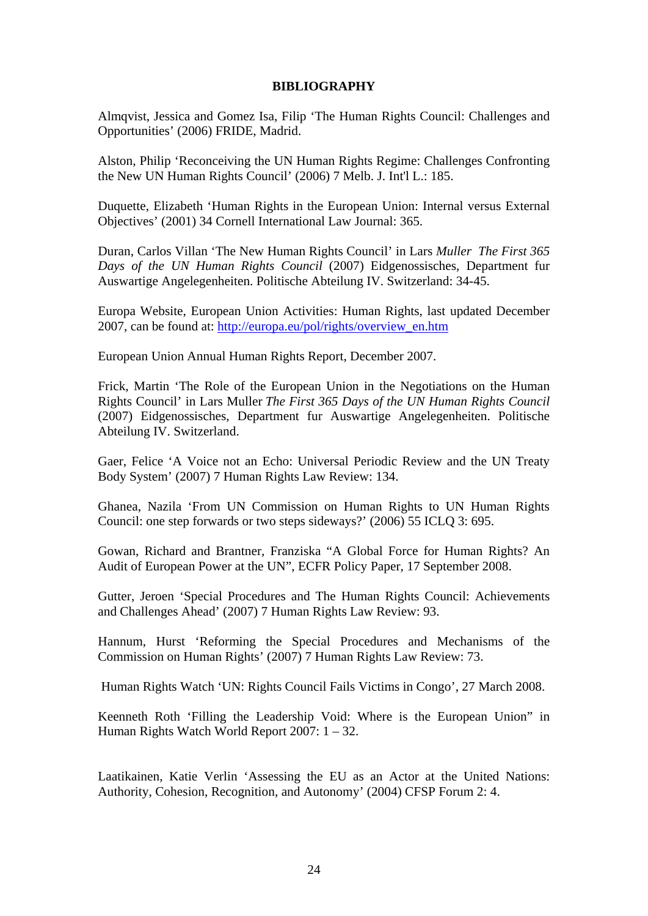#### **BIBLIOGRAPHY**

Almqvist, Jessica and Gomez Isa, Filip 'The Human Rights Council: Challenges and Opportunities' (2006) FRIDE, Madrid.

Alston, Philip 'Reconceiving the UN Human Rights Regime: Challenges Confronting the New UN Human Rights Council' (2006) 7 Melb. J. Int'l L.: 185.

Duquette, Elizabeth 'Human Rights in the European Union: Internal versus External Objectives' (2001) 34 Cornell International Law Journal: 365.

Duran, Carlos Villan 'The New Human Rights Council' in Lars *Muller The First 365 Days of the UN Human Rights Council* (2007) Eidgenossisches, Department fur Auswartige Angelegenheiten. Politische Abteilung IV. Switzerland: 34-45.

Europa Website, European Union Activities: Human Rights, last updated December 2007, can be found at: http://europa.eu/pol/rights/overview\_en.htm

European Union Annual Human Rights Report, December 2007.

Frick, Martin 'The Role of the European Union in the Negotiations on the Human Rights Council' in Lars Muller *The First 365 Days of the UN Human Rights Council* (2007) Eidgenossisches, Department fur Auswartige Angelegenheiten. Politische Abteilung IV. Switzerland.

Gaer, Felice 'A Voice not an Echo: Universal Periodic Review and the UN Treaty Body System' (2007) 7 Human Rights Law Review: 134.

Ghanea, Nazila 'From UN Commission on Human Rights to UN Human Rights Council: one step forwards or two steps sideways?' (2006) 55 ICLQ 3: 695.

Gowan, Richard and Brantner, Franziska "A Global Force for Human Rights? An Audit of European Power at the UN", ECFR Policy Paper, 17 September 2008.

Gutter, Jeroen 'Special Procedures and The Human Rights Council: Achievements and Challenges Ahead' (2007) 7 Human Rights Law Review: 93.

Hannum, Hurst 'Reforming the Special Procedures and Mechanisms of the Commission on Human Rights' (2007) 7 Human Rights Law Review: 73.

Human Rights Watch 'UN: Rights Council Fails Victims in Congo', 27 March 2008.

Keenneth Roth 'Filling the Leadership Void: Where is the European Union" in Human Rights Watch World Report 2007: 1 – 32.

Laatikainen, Katie Verlin 'Assessing the EU as an Actor at the United Nations: Authority, Cohesion, Recognition, and Autonomy' (2004) CFSP Forum 2: 4.